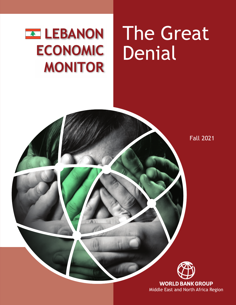## **Exercise LEBANON ECONOMIC MONITOR**

# The Great Denial

Fall 2021



**WORLD BANK GROUP** Middle East and North Africa Region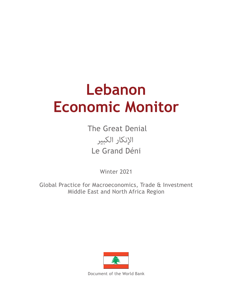## **Lebanon Economic Monitor**

 The Great Denial Le Grand Déni اإلنكار الكبير

Winter 2021

Global Practice for Macroeconomics, Trade & Investment Middle East and North Africa Region



Document of the World Bank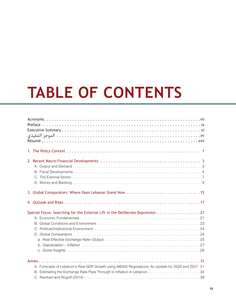# **TABLE OF CONTENTS**

| Special Focus: Searching for the External Lift in the Deliberate Depression 21                    |
|---------------------------------------------------------------------------------------------------|
| A. Forecasts of Lebanon's Real GDP Growth using MIDAS Regressions: An Update for 2020 and 2021 31 |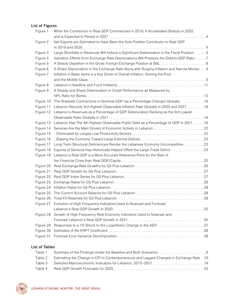## **List of Figures**

| Figure 1  | While the Contraction in Real GDP Commenced in 2018, It Accelerated Sharply in 2020,         |  |
|-----------|----------------------------------------------------------------------------------------------|--|
|           |                                                                                              |  |
| Figure 2  | Net Exports are Estimated to Have Been the Sole Positive Contributor to Real GDP             |  |
|           |                                                                                              |  |
| Figure 3  | Large Shortfalls in Revenues Will Induce a Significant Deterioration in the Fiscal Position5 |  |
| Figure 4  | Valuation Effects from Exchange Rate Depreciations Will Pressure the Debt-to-GDP Ratio 7     |  |
| Figure 5  | A Steady Depletion in the Gross Foreign Exchange Position at BdL8                            |  |
| Figure 6  | A Sharp Depreciation in the Exchange Rate Along with Surging Inflation and Narrow Money9     |  |
| Figure 7  | Inflation in Basic Items is a Key Driver of Overall Inflation, Hurting the Poor              |  |
|           |                                                                                              |  |
| Figure 8  |                                                                                              |  |
| Figure 9  | A Steady and Sharp Deterioration in Credit Performance as Measured by                        |  |
|           |                                                                                              |  |
| Figure 10 | The Sharpest Contractions in Nominal GDP (as a Percentage Change) Globally16                 |  |
| Figure 11 | Lebanon Records 3rd Highest Observable Inflation Rate Globally in 2020 and 202116            |  |
| Figure 12 | Lebanon's Revenues as a Percentage of GDP Deteriorated, Ranking as the 3rd Lowest            |  |
|           |                                                                                              |  |
| Figure 13 | Lebanon Has The 4th Highest Observable Public Debt as a Percentage of GDP in 2021 16         |  |
| Figure 14 |                                                                                              |  |
| Figure 15 |                                                                                              |  |
| Figure 16 |                                                                                              |  |
| Figure 17 |                                                                                              |  |
| Figure 18 |                                                                                              |  |
| Figure 19 | Lebanon's Real GDP is a More Accurate Reference Point for the Start of                       |  |
|           |                                                                                              |  |
| Figure 20 |                                                                                              |  |
| Figure 21 |                                                                                              |  |
| Figure 22 |                                                                                              |  |
| Figure 23 |                                                                                              |  |
| Figure 24 |                                                                                              |  |
| Figure 25 |                                                                                              |  |
| Figure 26 |                                                                                              |  |
|           | Figure 27 Evolution of High Frequency Indicators Used to Nowcast and Forecast                |  |
|           |                                                                                              |  |
| Figure 28 | Growth of High Frequency Real Economy Indicators Used to Nowcast and                         |  |
|           |                                                                                              |  |
| Figure 29 | Responses to a 1% Shock to the Logarithmic Change in the AER 37                              |  |
| Figure 30 |                                                                                              |  |
| Figure 31 |                                                                                              |  |
|           |                                                                                              |  |

## **List of Tables**

| Table 1 |                                                                                        |  |
|---------|----------------------------------------------------------------------------------------|--|
| Table 2 | Estimating the Change in CPI to Contemporaneous and Lagged Changes in Exchange Rate 10 |  |
| Table 3 |                                                                                        |  |
| Table 4 |                                                                                        |  |

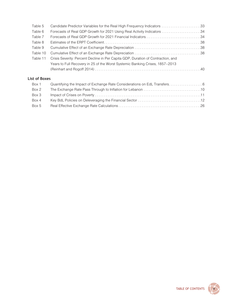| Table 5       |                                                                                  |  |
|---------------|----------------------------------------------------------------------------------|--|
| Table 6       |                                                                                  |  |
| Table 7       |                                                                                  |  |
| Table 8       |                                                                                  |  |
| Table 9       |                                                                                  |  |
| Table 10      |                                                                                  |  |
| Table 11      | Crisis Severity: Percent Decline in Per Capita GDP, Duration of Contraction, and |  |
|               | Years to Full Recovery in 25 of the Worst Systemic Banking Crises, 1857-2013     |  |
|               |                                                                                  |  |
| List of Boxes |                                                                                  |  |
| Box 1         |                                                                                  |  |
| Box 2         |                                                                                  |  |
| Box 3         |                                                                                  |  |



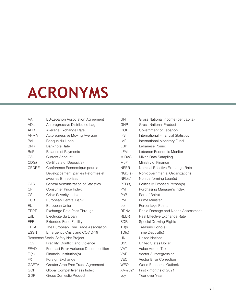## <span id="page-8-0"></span>**ACRONYMS**

| AA           | <b>EU-Lebanon Association Agreement</b> |
|--------------|-----------------------------------------|
| <b>ADL</b>   | Autoregressive Distributed Lag          |
| <b>AER</b>   | Average Exchange Rate                   |
| <b>ARMA</b>  | Autoregressive Moving Average           |
| <b>BdL</b>   | Banque du Liban                         |
| <b>BNR</b>   | Banknote Rate                           |
| <b>BoP</b>   | <b>Balance of Payments</b>              |
| CA           | <b>Current Account</b>                  |
| CD(s)        | Certificate of Deposit(s)               |
| <b>CEDRE</b> | Conférence Economique pour le           |
|              | Développement, par les Réformes et      |
|              | avec les Entreprises                    |
| CAS          | Central Administration of Statistics    |
| <b>CPI</b>   | <b>Consumer Price Index</b>             |
| <b>CSI</b>   | <b>Crisis Severity Index</b>            |
| <b>ECB</b>   | European Central Bank                   |
| EU           | European Union                          |
| <b>ERPT</b>  | Exchange Rate Pass Through              |
| EdL          | Electricité du Liban                    |
| <b>EFF</b>   | <b>Extended Fund Facility</b>           |
| <b>EFTA</b>  | The European Free Trade Association     |
| <b>ESSN</b>  | Emergency Crisis and COVID-19           |
|              | Response Social Safety Net Project      |
| <b>FCV</b>   | Fragility, Conflict, and Violence       |
| <b>FEVD</b>  | Forecast Error Variance Decomposition   |
| FI(s)        | Financial Institution(s)                |
| <b>FX</b>    | Foreign Exchange                        |
| <b>GAFTA</b> | Greater Arab Free Trade Agreement       |
| GCI          | Global Competitiveness Index            |
| GDP          | <b>Gross Domestic Product</b>           |

| <b>GNI</b>   | Gross National Income (per capita) |
|--------------|------------------------------------|
| <b>GNP</b>   | <b>Gross National Product</b>      |
| GOL          | Government of Lebanon              |
| <b>IFS</b>   | International Financial Statistics |
| IMF          | International Monetary Fund        |
| LBP          | Lebanese Pound                     |
| LEM          | Lebanon Economic Monitor           |
| <b>MIDAS</b> | Mixed-Data Sampling                |
| MoF          | Ministry of Finance                |
| <b>NEER</b>  | Nominal Effective Exchange Rate    |
| NGO(s)       | Non-governmental Organizations     |
| NPL(s)       | Non-performing Loan(s)             |
| PEP(s)       | Politically Exposed Person(s)      |
| <b>PMI</b>   | Purchasing Manager's Index         |
| PoB          | Port of Beirut                     |
| РM           | Prime Minister                     |
| pp           | Percentage Points                  |
| <b>RDNA</b>  | Rapid Damage and Needs Assessment  |
| <b>REER</b>  | Real Effective Exchange Rate       |
| <b>SDR</b>   | <b>Special Drawing Rights</b>      |
| TB(s         | Treasury Bond(s)                   |
| TD(s)        | Time Deposit(s)                    |
| UN           | <b>United Nations</b>              |
| US\$         | <b>United States Dollar</b>        |
| VAT          | Value Added Tax                    |
| <b>VAR</b>   | Vector Autoregression              |
| <b>VEC</b>   | <b>Vector Error Correction</b>     |
| <b>WEO</b>   | World Economic Outlook             |
| XM-2021      | First x months of 2021             |
| yoy          | Year over Year                     |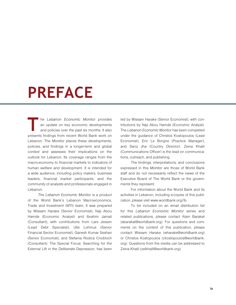## <span id="page-10-0"></span>**PREFACE**

**THE** *TEDEROOF ECONOMIC MONITOT* provides<br>
an update on key economic developments<br>
and policies over the past six months. It also<br>
presents findings from recent World Bank work on he *Lebanon Economic Monitor* provides an update on key economic developments and policies over the past six months. It also Lebanon. The *Monitor* places these developments, policies, and findings in a longer-term and global context and assesses their implications on the outlook for Lebanon. Its coverage ranges from the macro-economy to financial markets to indicators of human welfare and development. It is intended for a wide audience, including policy makers, business leaders, financial market participants, and the community of analysts and professionals engaged in Lebanon.

The *Lebanon Economic Monitor* is a product of the World Bank's Lebanon Macroeconomics, Trade and Investment (MTI) team. It was prepared by Wissam Harake (Senior Economist), Naji Abou Hamde (Economic Analyst) and Ibrahim Jamali (Consultant), with contributions from Lars Jessen (Lead Debt Specialist), Ulle Lohmus (Senior Financial Sector Economist), Ganesh Kumar Seshan (Senior Economist), and Stefania Rodica Cnobloch (Consultant). The Special Focus: Searching for the External Lift in the Deliberate Depression, has been led by Wissam Harake (Senior Economist), with contributions by Naji Abou Hamde (Economic Analyst). The *Lebanon Economic Monitor* has been completed under the guidance of Christos Kostopoulos (Lead Economist), Eric Le Borgne (Practice Manager), and Saroj Jha (Country Director). Zeina Khalil (Communications Officer) is the lead on communications, outreach, and publishing.

The findings, interpretations, and conclusions expressed in this *Monitor* are those of World Bank staff and do not necessarily reflect the views of the Executive Board of The World Bank or the governments they represent.

For information about the World Bank and its activities in Lebanon, including e-copies of this publication, please visit [www.worldbank.org/lb.](http://www.worldbank.org/lb)

To be included on an email distribution list for this *Lebanon Economic Monitor* series and related publications, please contact Alain Barakat ([abarakat@worldbank.org\)](mailto:abarakat@worldbank.org). For questions and comments on the content of this publication, please contact Wissam Harake (wharake@worldbank.org) or Christos Kostopoulos ([ckostopoulos@worldbank.](mailto:ckostopoulos@worldbank.org) [org\)](mailto:ckostopoulos@worldbank.org). Questions from the media can be addressed to Zeina Khalil (zelkhalil@worldbank.org).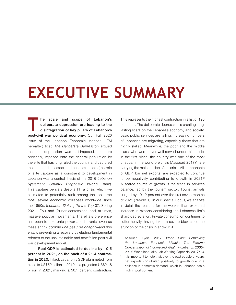## <span id="page-12-0"></span>**EXECUTIVE SUMMARY**

**T he scale and scope of Lebanon's deliberate depression are leading to the disintegration of key pillars of Lebanon's post-civil war political economy.** Our Fall 2020 issue of the Lebanon Economic Monitor (LEM hereafter) titled *[The Deliberate Depression](https://openknowledge.worldbank.org/handle/10986/34842)* argued that the depression was self-imposed, or more precisely, imposed onto the general population by the elite that has long ruled the country and captured the state and its associated economic rents (the role of elite capture as a constraint to development in Lebanon was a central thesis of the 2016 *[Lebanon](http://documents1.worldbank.org/curated/en/951911467995104328/pdf/103201-REPLACEMNT-PUBLIC-Lebanon-SCD-Le-Borgne-and-Jacobs-2016.pdf) [Systematic Country Diagnostic](http://documents1.worldbank.org/curated/en/951911467995104328/pdf/103201-REPLACEMNT-PUBLIC-Lebanon-SCD-Le-Borgne-and-Jacobs-2016.pdf)* (World Bank). This capture persists despite (1) a crisis which we estimated to potentially rank among the top three most severe economic collapses worldwide since the 1850s, (*[Lebanon Sinking \(to the Top](https://openknowledge.worldbank.org/handle/10986/35626)* 3)), Spring 2021 LEM); and (2) non-confessional and, at times, massive popular movements. The elite's preference has been to hold onto power and its rents—even as these shrink *comme une peau de chagrin*—and this entails preventing a recovery by eluding fundamental reforms to the unsustainable and now failed post-civil war development model.

**Real GDP is estimated to decline by 10.5 percent in 2021, on the back of a 21.4 contraction in 2020.** In fact, Lebanon's GDP plummeted from close to US\$52 billion in 2019 to a projected US\$21.8 billion in 2021, marking a 58.1 percent contraction. This represents the highest contraction in a list of 193 countries. The deliberate depression is creating longlasting scars on the Lebanese economy and society: basic public services are failing; increasing numbers of Lebanese are migrating, especially those that are highly skilled. Meanwhile, the poor and the middle class, who were never well served under this model in the first place—the country was one of the most unequal in the world pre-crisis (Assouad  $2017$ )<sup>1</sup>-are carrying the main burden of the crisis. All components of GDP, bar net exports, are expected to continue to be negatively contributing to growth in 2021.<sup>2</sup> A scarce source of growth is the trade in services balance, led by the tourism sector. Tourist arrivals surged by 101.2 percent over the first seven months of 2021 (7M-2021). In our Special Focus, we analyze in detail the reasons for the weaker than expected increase in exports considering the Lebanese lira's sharp depreciation. Private consumption continues to suffer heavily, having taken a severe blow since the eruption of the crisis in end-2019.

<sup>1</sup>Assouad, Lydia. 2017. *World Bank Rethinking the Lebanese Economic Miracle: The Extreme Concentration of Income and Wealth in Lebanon 2005– 2014*, World Inequality Lab Working Paper No. 2017/13.

 $2$  It is important to note that, over the past couple of years, net exports contributed positively to growth due to a collapse in domestic demand, which in Lebanon has a high import content.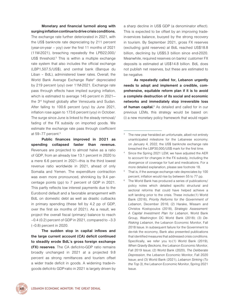**Monetary and financial turmoil along with surging inflation continue to drive crisis conditions.**

The exchange rate further deteriorated in 2021, with the US\$ banknote rate depreciating by 211 percent (year-on-year – yoy) over the first 11 months of 2021 (11M-2021), breaching repeatedly the LPB22,000/ US\$ threshold.<sup>3</sup> This is within a multiple exchange rate system that also includes the official exchange (LBP1,507.5/US\$), and central bank (Banque du Liban – BdL), administered lower rates. Overall, the World Bank Average Exchange Rate<sup>4</sup> depreciated by 219 percent (yoy) over 11M-2021. Exchange rate pass through effects have implied surging inflation, which is estimated to average 145 percent in 2021 the 3rd highest globally after Venezuela and Sudan. After falling to 100.6 percent (yoy) by June 2021, inflation rose again to 173.6 percent (yoy) in October. The surge since June is linked to the steady removal/ fading of the FX subsidy on imported goods. We estimate the exchange rate pass through coefficient at 59-77 percent.<sup>5</sup>

**Public finances improved in 2021 as spending collapsed faster than revenue.**  Revenues are projected to almost halve as a ratio of GDP, from an already low 13.1 percent in 2020 to a mere 6.6 percent in 2021—this is the third lowest revenue ratio worldwide in 2021, ahead of only Somalia and Yemen. The expenditure contraction was even more pronounced, shrinking by 9.4 percentage points (pp) to 7 percent of GDP in 2021. This partly reflects low interest payments due to the Eurobond default and a favorable arrangement with BdL on domestic debt as well as drastic cutbacks in primary spending (these fell by 4.2 pp of GDP, over the first six months of 2021). As a result, we project the overall fiscal (primary) balance to reach –0.4 (0.2) percent of GDP in 2021, compared to –3.3 (–0.8) percent in 2020.

**The sudden stop in capital inflows and the large current account (CA) deficit continued to steadily erode BdL's gross foreign exchange (FX) reserves**. The CA deficit-to-GDP ratio remains broadly unchanged in 2021 at a projected 9.8 percent as strong remittances and tourism offset a wider trade deficit in goods. A widening trade-ingoods deficit-to GDP-ratio in 2021 is largely driven by

a sharp decline in US\$ GDP (a denominator effect). This is expected to be offset by an improving tradein-services balance, buoyed by the strong recovery in tourism. By September 2021, gross FX reserves (excluding gold reserves) at BdL reached US\$18.8 billion, declining by US\$5.3 billion since end-2020. Meanwhile, required reserves on banks' customer FX deposits is estimated at US\$14.8 billion. BdL does not publish net reserves, but these are estimated to be negative.

**As repeatedly called for, Lebanon urgently needs to adopt and implement a credible, comprehensive, equitable reform plan if it is to avoid a complete destruction of its social and economic networks and immediately stop irreversible loss**  of human capital.<sup>6</sup> As detailed and called for in our previous LEMs, this strategy would be based on: (i) a new monetary policy framework that would regain

- Since the Spring 2021 LEM, we have adjusted the AER to account for changes in the FX subsidy, including the divergence of coverage for fuel and medications. For a more detailed explanation, please see footnote 18.
- That is, if the average exchange rate depreciates by 100 percent, inflation would rise by between 55 to 77 pp.
- The World Bank has produced a series of publications/ policy notes which detailed specific structural and sectoral reforms that could have helped achieve a soft landing prior to the crisis. These include:(1) World Bank (2016), *Priority Reforms for the Government of Lebanon*, December 2016; (2) Harake, Wissam and Christos Kostopoulos (2018), *Strategic Assessment: A Capital Investment Plan for Lebanon*, World Bank Group, Washington DC World Bank (2018); (3) *De-Risking Lebanon*, the Lebanon Economic Monitor, Fall 2018 Issue. In subsequent failure for the Government to de-risk the economy, Bank also presented publications that identified measures that addressed crisis conditions. Specifically, we refer you to:(1) World Bank (2019), *When Gravity Beckons*, the Lebanon Economic Monitor, Fall 2019 Issue; (2) World Bank (2020), *The Deliberate Depression*, the Lebanon Economic Monitor, Fall 2020 Issue; and (3) World Bank (2021), *Lebanon Sinking (To the Top 3)*, the Lebanon Economic Monitor, Spring 2021 Issue.



 $3$  The new year heralded an unfortunate, albeit not entirely unanticipated milestone for the Lebanese economy; on January 4, 2022, the US\$ banknote exchange rate breached the LBP30,000/US\$ mark for the first time.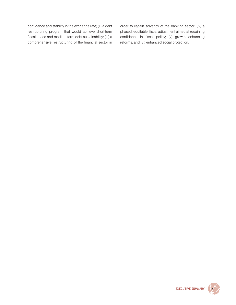confidence and stability in the exchange rate; (ii) a debt restructuring program that would achieve short-term fiscal space and medium-term debt sustainability; (iii) a comprehensive restructuring of the financial sector in order to regain solvency of the banking sector; (iv) a phased, equitable, fiscal adjustment aimed at regaining confidence in fiscal policy; (v) growth enhancing reforms; and (vi) enhanced social protection.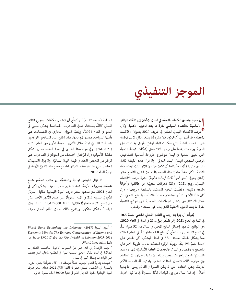## **الموجز التنفيذي**

إ **ّ نّ حجم ونطاق الكساد املتعم ّ د يف لبنان يؤديان إىل تفكّك الركائز األساسية لالقتصاد السيايس لفرتة ما بعد الحرب األهلية**. وكان مرصد االقتصاد اللبناين الصادر يف خريف 2020 بعنوان *» [الكساد](https://openknowledge.worldbank.org/handle/10986/34842) [املتعمد](https://openknowledge.worldbank.org/handle/10986/34842)«* ً قد أشار إىل أن الركود كان مفروضا بشكل ذايت، ال بل فرضته *ّ* ٍ عىل الشعب النخبة التي حكمت البلد لوقت طويل وقبضت عىل الدولة ووضعت يدها على ريعها الاقتصادي (شكّلت قبضة النخبة التي تعيق التنمية في لبنان موضوع أطروحة أساسيّة للتشخيص الوطني المنهجي للبنان، البنك الدولي). ولا تزال هذه القبضة قامًة بالرغم من (1) أزمة قدّرناها أن تكون من بين الانهيارات الاقتصاديّة الثلاثة الأكثر حدةً عالميًا منذ الخمسينات من القرن التاسع عشر )*[لبنان يغرق \)نحو أسوأ ثالث أزمات عاملية](https://openknowledge.worldbank.org/handle/10986/35626)*(، نرشة مرصد االقتصاد اللبناني، ربيع 2021)؛ و(2) تحرّكات شعبيّة غير طائفية وأحياناً واسعة وكثيفة. وفضّلت النخبة التمسّك بالسلطة وبريعها - وإن كان هذا الأخير يتقلّص ويتلاشى بسرعة فائقة- ممّا عنع التعافي من خلال الامتناع عن إدخال الإصلاحات الأساسيّة على غوذج التنمية لفترة ما بعد الحرب الأهلية الذي بات غير مستدام وفاشل.

**يُ َّ توقع أن يرتاجع إجاميل الناتج املحيل الفعيل بنسة 10.5 يف املئة يف العام ،2021 إثر تقلّص بلغ 21.4 يف املئة يف العام .2020**  وفي الواقع، تدهور إجمالي الناتج المحلي في لبنان من 52 مليار د.أ. في العام 2019 إلى ما يُتوقّع أن يبلغ 21.8 مليار د.أ. في العام 2021، مما يشكّل تقلّصًا نسبته 58.1 في المئة، ليشكلّ أكبر تقلّص على لائحة تضمّ 193 بلدًا. ويولّد الركود المتعمّد ندباتٍ طويلة الأثر على المجتمع والاقتصاد في لبنان: فالخدمات العامة الأساسيّة تنهار؛ وعدد اللبنانيّين الذين يلجؤون للهجرة يزداد؛ لا سيّما ذويالمهارات العالية. وفي موازاة ذلك، تتحمل الفئات الفقيرة والمتوسطة العبء الأكبر لألزمة، وهي الفئات التي مل يكن النموذج القائم يلبي حاجاتها أصلاً – إذ كان لبنان من بين البلدان الأقل مساواةً في ما قبل الأزمة

العالمية (أسود، 2017) ؒ. ويُتوقَّع أن تواصل مكوّنات إجمالي الناتج ً املحيل كافة، باستثناء صايف الصادرات، املساهمة بشكل سلبي يف النمو في العام 2021°. ويُعتبَر الميزان التجاري في الخدمات، على رأسها السياحة، مصدر فمو نادرًا. فقد ارتفع عدد السائحين الوافدين بنسبة 101.2 يف املئة خالل األشهر السبعة األوىل من العام 2021 )-2021M7). ويف موضوعنا الخاص يف هذا العدد، نحلّل بشكل مفصّل الأسباب وراء الإرتفاع الأضعف من المتوقع في الصادرات على الرغم من التدهور الحاد في قيمة الليرة اللبنانيّة. ولا يزال الاستهلاك الخاص يعاني بشدة، بعدما تعرّض لضربةٍ قويةٍ منذ اندلاع الأزمة في ֦֧֦֪֪֖֦֧ׅ֪֦֧֚֚֚֚֚֚֚֚֚֚֚֚֚֚֚֚֚֚֚֚֚֚֚֚֚֚֞֘֝֝֟֓֡֞֡֡֡֬֜֝֬֝֓֞֡֞֞֞ نهاية العام .2019

لا تزال الفوضى الماليّة والنقديّة إلى جانب تضخّم متنامٍ **تتحكم بظروف األزمة.** فقد تدهور سعر الرصف بشكل أكرب يف العام 2021، مع تدهور سعر صرفِ الليرة اللبنانيّة مقابل الدولار الأميركي بنسبة 211 في المئة (سنوياً) على مدى الأشهر الأحد عشر ً من العام ،2021 متجاوزا خاللها عتبة الـ 22000 لرية لبنانية للدوالر الواحد<sup>و</sup> بشكل متكرّر. ويندرج ذلك ضمن نظام أسعار ص<sub>ر</sub>ف

*World Bank Rethinking the Lebanese* ،)2017( ليديا ،أسود <sup>7</sup> *Economic Miracle: The Extreme Concentration of Income and 2014–2005 Lebanon in Wealth*، ورقة عمل رقم 13/2017 صادرة عن .World Inequality Lab

<sup>ّ</sup> السنوات األخرية، ساهمت الصادرات <sup>8</sup> تجدر اإلشارة إىل أنّه، عىل مر الصافية في النمو بشكل إيجابي بسبب انهيار في الطلب المحلي الذي يعتمد عىل الواردات بشكل كبري يف لبنان.

<sup>9</sup> شهدت بداية العام الجديد حدثاً مؤسفًا، وإن كان متوقًّعا بعض اليشء، بالنسبة إلى الاقتصاد اللبناني: ففي 4 كانون الثاني 2022، تجاوز سعر صرف الليرة اللبنانيّة مقابل الدولار الأميركي عتبة 30000 ل.ل. للمرة الأولى.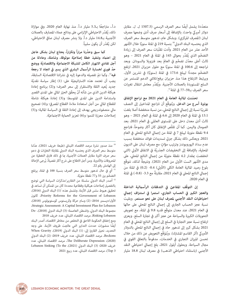متعدّدة يشمل أيضًا سعر الصرف الرسمي (1507.5 ل. ل. مقابل دولار أميركي واحد)، بالإضافة إلى أسعار صرف أدنى وضعها مصرف لبنان (المصرف المركزي). وبشكل عام، تدهور متوسط سعر الصرف الذي يحتسبه البنك الدولي<sup>10</sup> بنسبة 219 في المئة سنويًا خلال الأشهر الأحد عشر من العام 2021. وأدت تقلّبات سعر الصرف إلى زيادة التضخّم الذي يُقدَّر بحوالى 145 في المئة في العام 2021 – وهو ثالث أعلى معدّل تضخّم في العالم بعد فنزويلا والسودان. وبعد تراجعه إلى 100.6 في المئة سنويًا مع حلول حزيران 2021، ارتفع التضخّم مجددًا ليبلغ 173.6 في المئة (سنويًا) في تشرين الأول. ويرتبط االرتفاع هذا منذ حزيران برفع/تاليش الدعم املستمر عن السلع المستوردة بالعملات الأجنبية. ويُقدَّر معامل انتقال تغيرات . سعر الصرف بـ59–77 في المئة<sup>11</sup>.

**ّ تحسنت املالية العامة يف العام 2021 مع تراجع اإلنفاق بوتيرة أسرع من الدخل.** ويُتوقَّع أن تتراجع المداخيل إلى النصف تقريبًا نسبة إلى إجمالي الناتج المحلي، من نسبة منخفضة أصلا بلغت 13.1 يف املئة يف العام 2020 إىل 6.6 يف املئة يف العام 2021 – وهو ثالث أدنى معدل دخل على المستوى العالمي في العام 2021، بعد الصومال واليمن. كما أن تقلّص الإنفاق كان أكثر وضوحاً، فتراجع 9.4 نقطة مئوية ليبلغ 7 يف املئة من إجميل الناتج املحيل يف العام .2021 ويعكس ذلك بشكل جزيئ تسديدات فوائد منخفضة بسبب عدم سداد اليوروبوندز وترتيب مؤات مع مصرف لبنان على الديون المحلية، بالإضافة إلى التخفيضات الجذريّة في الانفاق الأولي (التي انخفضت مقدار 4.2 نقطة مئويّة من إجمالي الناتج المحلي، على ً مدى األشهر الست األوىل من العام 2021(. ونتيجة لذلك، نتوقّع بلوغ رصيد المالية العامة الكلى (الأولى) 0.4- (0.2) في المئة من إجمالي الناتج المحلي في العام 2021، مقارنةً مع 3.3- (0.8-) في المئة يف العام .2020

**ّ إن التوقف املفاجئ يف التدفقات الرأساملية الداخلة والعجز الكبري يف الحساب الجاري، استمرا يف استنزاف إجاميل احتياطيات النقد األجنبي ملرصف لبنان عىل نحو مستمر.** وبقيت نسبة عجز الحساب الجاري إىل إجميل الناتج املحيل عىل حالها في العام 2021، عند معدل متوقّع قدره 9.8 في المئة، مع تعويض التحويالت الكبرية والسياحة عن عجز أكرب يف تجارة السلع. ويعزى ارتفاع نسبة عجز التجارة في السلع إلى إجمالي الناتج المحلى في العام 2021 بشكل كبري إىل تدهور حاد يف إجميل الناتج املحيل بالدوالر الأميركي (أثر القاسم المشترك). ويُتوّقِّع التعويضِ عن ذلك من خلال تحسن امليزان التجاري يف الخدمات، مدفوعاً بالتعايف القوي يف مجال السياحة. وبحلول أيلول 2021، بلغ إجمالي احتياطي النقد الأجنبي (باستثناء احتياطي الذهب) في مصرف لبنان 18.8 مليار

د.أ.، متراجعًا بـ5.3 مليار د.أ. منذ نهاية العام 2020. وفي موازاة ذلك، يُقدّر الاحتياطي الإلزامي على ودائع عملاء المصارف بالعملات الأجنبية بـ14.8 مليار د.أ. ولا ينشر مصرف لبنان صافي الاحتياطي، لكن يُقدّر أن يكون سلبياً.

**ّ كام سبق وحذرنا مراراً وتكرارا،ً يحتاج لبنان بشكل عاجل**  إلى اعتماد وتنفيذ خطة إصلاحيّة موثوقة، وشاملة، وعادلة من أجل تفادي الانهيار الكامل للشبكة الاجتماعيّة والاقتصاديّة ووضع حدّ فوري لخسارة الرأسمال البشري الذي يسير في اتجاه لا رجعة **فيه**<sup>12</sup>. وكما تمّ تفصيله والدعوة إليه في نشراتنا الاقتصاديّة السابقة، **.** يجب أن تعتمد هذه الاستراتيجيّة على: (1) إطار سياسة نقديّة جديد يُعيد الثقة والاستقرار إلى سعر الصرف؛ و(2) برنامج إعادة هيكلة الدين الذي من شأنه أنّ يحقّق الحيّز المالي على المدى القصير واستدامة الدين عىل املدى املتوسط؛ و)3( إعادة هيكلة شاملة للقطاع المالي من أجل استعادة ملاءة القطاع المصرفي؛ و(4) تصحيح مالي منصفوتدريجي يهدف إلى إعادة الثقة في السياسة المالية؛ و(5) إصلاحات معززة للنمو؛ و(6) تعزيز الحماية الاجتماعيّة.<br>-

ومع إخفاق الحكومة الالحق يف التخلص من مخاطر االقتصاد، أصدر البنك أيضًا منشورات حددت التدابير التي عالجت ظروف الأزمة. على وجه التحديد، نحيل القارئ إلى: (1) البنك الدولى (2019)، When Gravity Beckons، مرصد الاقتصاد اللبناني، عدد خريف 2019؛ (2) البنك الدولي )2020(، Depression Deliberate The، مرصد االقتصاد اللبناين، عدد خريف 2020؛ (3) البنك الدولي (2021)، Lebanon Sinking (To the 3 Top)، مرصد االقتصاد اللبناين، عدد ربيع 2021



 $^{10}$ منذ صدور نشرة مرصد الاقتصاد اللبناني (طبعة خريف 2021)، عدّلنا متوسط سعر الصرف الذي يحتسبه البنك الدولي لمقابلة التغيّرات في دعم سعر صرف اللبرة مقابل العملات الأجنبية، ما في ذلك فارق التغطية عن المحروقات والأدوية. ومن أجل الاطلاع على شرح أكثر تفصيلاً، يُرجى الإحالة إىل الهامش رقم .22

<sup>11</sup> أي يف حال تدهور متوسط سعر الرصف بنسبة 100 يف املئة، يرتفع التضخّم بين 55 و77 نقطة مئويّة.

<sup>12</sup> أصدر البنك الدويل سلسلة من التقارير/مذكرات السياسة التي توضح بالتفصيل إصلاحات هيكلية وقطاعية محددة كان من الممكن أن تساعد في تحقيق هبوط سلس قبل الأزمة. وتشمل هذه: َ(1) البنك الدولي (2016)، كانون ،Priority Reforms for the Government of Lebanon الأول/ديسمبر 2016؛ (2) وسام حركة وكريستوس كوستوبولوس (2018)، ،Strategic Assessment: A Capital Investment Plan for Lebanon مجموعة البنك الدولي، واشنطن العاصمة؛ (3) البنك الدولي (2018)، -De Lebanon Risking، مرصد االقتصاد اللبناين، عدد خريف 2018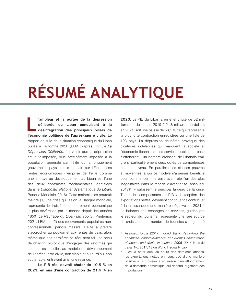# <span id="page-18-0"></span>**RÉSUMÉ ANALYTIQUE**

**L 'ampleur et la portée de la dépression délibérée du Liban conduisent à la désintégration des principaux piliers de l'économie politique de l'après-guerre civile.** Le rapport de suivi de la situation économique du Liban publié à l'automne 2020 (LEM ci-après), intitulé *La Dépression Délibérée*, fait valoir que la dépression est auto-imposée, plus précisément imposée à la population générale par l'élite qui a longuement gouverné le pays et mis la main sur l'État et ses rentes économiques (l'emprise de l'élite comme une entrave au développement au Liban est l'une des deux contraintes fondamentales identifiées dans le *Diagnostic National Systématique du Liban*, Banque Mondiale, 2016). Cette mainmise se poursuit malgré (1) une crise qui, selon la Banque mondiale, représente le troisième effondrement économique le plus sévère de par le monde depuis les années 1850 (*Le Naufrage du Liban (au Top 3*), Printemps 2021, LEM); et (2) des mouvements populaires nonconfessionnels, parfois massifs. L'élite a préféré s'accrocher au pouvoir et aux rentes du pays, alors même que ces dernières se réduisent tel une peau de chagrin, plutôt que d'engager des réformes qui seraient essentielles au modèle de développement de l'aprèsguerre civile, non viable et aujourd'hui non soutenable, entravant ainsi une relance.

**Le PIB réel devrait chuter de 10,5 % en 2021, en sus d'une contraction de 21,4 % en**  **2020.** Le PIB du Liban a en effet chuté de 52 milliards de dollars en 2019 à 21,8 milliards de dollars en 2021, soit une baisse de 58,1 %, ce qui représente la plus forte contraction enregistrée sur une liste de 193 pays. La dépression délibérée provoque des cicatrices indélébiles qui marquent la société et l'économie libanaises : les services publics de base s'effondrent ; un nombre croissant de Libanais émigrent, particulièrement ceux dotés de compétences de haut niveau. En parallèle, les classes pauvres et moyennes, à qui ce modèle n'a jamais bénéficié pour commencer – le pays ayant été l'un des plus inégalitaires dans le monde d'avant-crise (Assouad,  $2017$ <sup>13</sup> – subissent le principal fardeau de la crise. Toutes les composantes du PIB, à l'exception des exportations nettes, devraient continuer de contribuer à la croissance d'une manière négative en 2021<sup>14</sup>. La balance des échanges de services, guidée par le secteur du tourisme, représente une rare source de croissance. Le nombre de touristes a augmenté

<sup>&</sup>lt;sup>13</sup> Assouad, Lydia (2017), *World Bank Rethinking the Lebanese Economic Miracle: The Extreme Concentration of Income and Wealth in Lebanon 2005–2014*, Note de travail No. 2017/13 du World Inequality Lab.

<sup>&</sup>lt;sup>14</sup> Il est à noter que, au cours des dernières années, les exportations nettes ont contribué d'une manière positive à la croissance en raison d'un effondrement de la demande domestique, qui dépend largement des importations.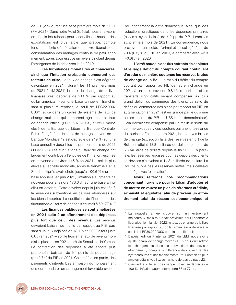de 101,2 % durant les sept premiers mois de 2021 (7M-2021). Dans notre Volet Spécial, nous analysons en détails les raisons pour lesquelles la hausse des exportations est plus faible que prévue, compte tenu de la forte dépréciation de la livre libanaise. La consommation des ménages continue de pâtir énormément, après avoir essuyé un revers cinglant depuis l'émergence de la crise vers la fin 2019.

**Les turbulences monétaires et financières, ainsi que l'inflation croissante demeurent des facteurs de crise.** Le taux de change s'est dégradé davantage en 2021 : durant les 11 premiers mois de 2021 (11M-2021) le taux de change de la livre libanaise s'est déprécié de 211 % par rapport au dollar américain (sur une base annuelle), franchissant à plusieurs reprises le seuil de LPB22,000/ US\$15, et ce dans un cadre de système de taux de change multiples qui comprend également le taux de change officiel (LBP1,507.5/US\$) et celui moins élevé de la Banque du Liban (la Banque Centrale, BdL). En général, le taux de change moyen de la Banque Mondiale<sup>16</sup> s'est déprécié de 219 % (sur une base annuelle) durant les 11 premiers mois de 2021 (11M-2021). Les fluctuations du taux de change ont largement contribué à l'envolée de l'inflation, estimée en moyenne à environ 145 % en 2021 — soit la plus élevée à l'échelle mondiale, après le Venezuela et le Soudan. Après avoir chuté jusqu'à 100.6 % (sur une base annuelle) en juin 2021, l'inflation a augmenté de nouveau pour atteindre 173.6 % (sur une base annuelle) en octobre. Cette envolée depuis juin est liée à la levée des subventions en devises étrangères sur les biens importés. Le coefficient de l'incidence des fluctuations du taux de change s'estimait à 59–77 %.<sup>17</sup>

**Les finances publiques se sont améliorées en 2021 suite à un effondrement des dépenses plus fort que celui des revenus.** Les revenus devraient baisser de moitié par rapport au PIB, passant d'un taux déjà bas de 13.1 % en 2020 à tout juste 6.6 % en 2021 — soit le troisième taux de revenu mondial le plus bas en 2021, après la Somalie et le Yémen. La contraction des dépenses a été encore plus prononcée, baissant de 9.4 points de pourcentage (pp) à 7 % du PIB en 2021. Cela reflète, en partie, des paiements d'intérêts bas en raison du nonpaiement des eurobonds et un arrangement favorable avec la

BdL concernant la dette domestique, ainsi que des réductions drastiques dans les dépenses primaires (celles-ci ayant baissé de 4.2 pp du PIB durant les six premiers mois de 2021). En conséquence, nous prévoyons un solde (primaire) fiscal général de –0.4 (0.2) % du PIB en 2021, à comparer avec –3.3 (–0.8) % en 2020.

**L'arrêt soudain des flux entrants de capitaux et le large déficit du compte courant continuent d'éroder de manière soutenue les réserves brutes de change de la BdL**. Le ratio du déficit du compte courant par rapport au PIB demeure inchangé en 2021, à un taux prévu de 9.8 %, le tourisme et les transferts significatifs venant compenser un plus grand déficit du commerce des biens. Le ratio du déficit du commerce des biens par rapport au PIB, en augmentation en 2021, est en grande partie dû à une baisse accrue du PIB en US\$ (effet dénominateur). Cela devrait être compensé par un meilleur solde du commerce des services, soutenu par une forte relance du tourisme. En septembre 2021, les réserves brutes de change (exception faite des réserves en or) de la BdL ont atteint 18,8 milliards de dollars, chutant de 5,3 milliards de dollars depuis la fin 2020. En parallèle, les réserves requises pour les dépôts des clients en devises s'élevaient à 14,8 milliards de dollars. La BdL ne publie pas les réserves nettes, mais celles-ci sont négatives (estimation).

**Nous réitérons nos recommandations concernant l'urgence pour le Liban d'adopter et de mettre en œuvre un plan de réformes crédible, exhaustif et équitable, afin de prévenir un effondrement total du réseau socioéconomique et** 



<sup>&</sup>lt;sup>15</sup> La nouvelle année s'ouvre sur un événement malheureux, mais tout à fait prévisible pour l'économie libanaise : le 4 janvier 2022, le taux de change de la livre libanaise par rapport au dollar américain a dépassé le seuil de LBP30,000/US\$ pour la première fois.

<sup>&</sup>lt;sup>16</sup> Depuis l'édition Printemps 2021 du LEM, nous avons ajusté le taux de change moyen (AER) pour qu'il reflète les changements dans les subventions des devises étrangères, y compris la différence de couverture des hydrocarbures et des médicaments. Pour obtenir de plus amples détails, veuillez voir la note de bas de page 22.

<sup>&</sup>lt;sup>17</sup> C'est-à-dire, si le taux de change moyen se déprécie de 100 %, l'inflation augmentera entre 55 et 77 pp.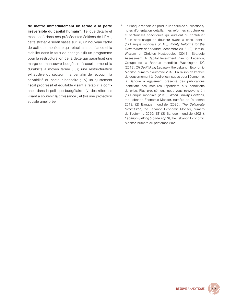**de mettre immédiatement un terme à la perte irréversible du capital humain**<sup>18</sup> **.** Tel que détaillé et mentionné dans nos précédentes éditions de LEMs, cette stratégie serait basée sur : (i) un nouveau cadre de politique monétaire qui rétablira la confiance et la stabilité dans le taux de change ; (ii) un programme pour la restructuration de la dette qui garantirait une marge de manœuvre budgétaire à court terme et la durabilité à moyen terme ; (iii) une restructuration exhaustive du secteur financer afin de recouvrir la solvabilité du secteur bancaire ; (iv) un ajustement fiscal progressif et équitable visant à rétablir la confiance dans la politique budgétaire ; (v) des réformes visant à soutenir la croissance ; et (vi) une protection sociale améliorée.

<sup>18</sup> La Banque mondiale a produit une série de publications/ notes d'orientation détaillant les réformes structurelles et sectorielles spécifiques qui auraient pu contribuer à un atterrissage en douceur avant la crise, dont : (1) Banque mondiale (2016), *Priority Reforms for the Government of Lebanon*,, décembre 2016; (2) Harake, Wissam et Christos Kostopoulos (2018), Strategic Assessment: A Capital Investment Plan for Lebanon, Groupe de la Banque mondiale, Washington DC (2018); (3) *De-Risking Lebanon*, the Lebanon Economic Monitor, numéro d'automne 2018. En raison de l'échec du gouvernement à réduire les risques pour l'économie, la Banque a également présenté des publications identifiant des mesures répondant aux conditions de crise. Plus précisément, nous vous renvoyons à : (1) Banque mondiale (2019), *When Gravity Beckons*, the Lebanon Economic Monitor, numéro de l'automne 2019; (2) Banque mondiale (2020), *The Deliberate Depression*, the Lebanon Economic Monitor, numéro de l'automne 2020; ET (3) Banque mondiale (2021), *Lebanon Sinking (To the Top 3)*, the Lebanon Economic Monitor, numéro du printemps 2021

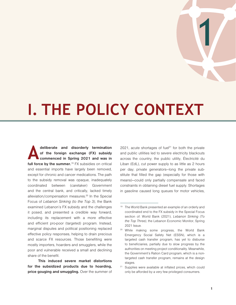## <span id="page-22-0"></span>**I. THE POLICY CONTEXT**

**A deliberate and disorderly termination of the foreign exchange (FX) subsidy commenced in Spring 2021 and was in**  full force by the summer.<sup>19</sup> FX subsidies on critical and essential imports have largely been removed, except for chronic and cancer medications. The path to the subsidy removal was opaque, inadequately coordinated between (caretaker) Government and the central bank, and critically, lacked timely alleviation/compensation measures.20 In the Special Focus of *[Lebanon Sinking \(to the Top 3\)](https://openknowledge.worldbank.org/handle/10986/35626)*, the Bank examined Lebanon's FX subsidy and the challenges it posed, and presented a credible way forward, including its replacement with a more effective and efficient pro-poor (targeted) program. Instead, marginal disputes and political positioning replaced effective policy responses, helping to drain precious and scarce FX resources. Those benefiting were mostly importers, hoarders and smugglers, while the poor and vulnerable received a small and declining share of the benefit.

**This induced severe market distortions for the subsidized products due to hoarding, price gouging and smuggling.** Over the summer of

2021, acute shortages of fuel<sup>21</sup> for both the private and public utilities led to severe electricity blackouts across the country; the public utility, Électricité du Liban (EdL), cut power supply to as little as 2 hours per day; private generators—long the private substitute that filled the gap (especially for those with means)—could only partially compensate and faced constraints in obtaining diesel fuel supply. Shortages in gasoline caused long queues for motor vehicles,

1

<sup>&</sup>lt;sup>19</sup> The World Bank presented an example of an orderly and coordinated end to the FX subsidy in the Special Focus section of: World Bank (2021), *Lebanon Sinking (To the Top Three)*, the Lebanon Economic Monitor, Spring 2021 Issue.

<sup>&</sup>lt;sup>20</sup> While making some progress, the World Bank Emergency Social Safety Net (ESSN), which is a targeted cash transfer program, has yet to disburse to beneficiaries, partially due to slow progress by the authorities on meeting project conditionality. Meanwhile, the Government's Ration Card program, which is a nontargeted cash transfer program, remains at the design stages.

<sup>&</sup>lt;sup>21</sup> Supplies were available at inflated prices, which could only be afforded by a very few privileged consumers.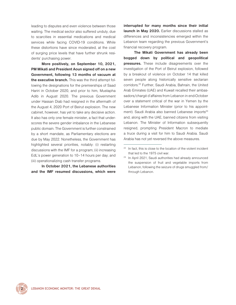leading to disputes and even violence between those waiting. The medical sector also suffered unduly, due to scarcities in essential medications and medical services while facing COVID-19 conditions. While these distortions have since moderated, at the cost of surging price levels that have further shrunk residents' purchasing power.

**More positively, on September 10, 2021, PM Mikati and President Aoun signed off on a new Government, following 13 months of vacuum at the executive branch.** This was the third attempt following the designations for the premierships of Saad Hariri in October 2020, and prior to him, Mustapha Adib in August 2020. The previous Government under Hassan Diab had resigned in the aftermath of the August 4, 2020 Port of Beirut explosion. The new cabinet, however, has yet to take any decisive action. It also has only one female minister, a fact that underscores the severe gender imbalance in the Lebanese public domain. The Government is further constrained by a short mandate, as Parliamentary elections are due by May 2022. Nonetheless, the Government has highlighted several priorities, notably: (i) restarting discussions with the IMF for a program; (ii) increasing EdL's power generation to 10–14 hours per day; and (iii) operationalizing cash transfer programs.

**In October 2021, the Lebanese authorities and the IMF resumed discussions, which were** 

**interrupted for many months since their initial launch in May 2020.** Earlier discussions stalled as differences and inconsistencies emerged within the Lebanon team regarding the previous Government's financial recovery program.

**The Mikati Government has already been bogged down by political and geopolitical pressures.** These include disagreements over the investigation of the Port of Beirut explosion, followed by a breakout of violence on October 14 that killed seven people along historically sensitive sectarian corridors.22 Further, Saudi Arabia, Bahrain, the United Arab Emirates (UAE) and Kuwait recalled their ambassadors/chargé d'affaires from Lebanon in end-October over a statement critical of the war in Yemen by the Lebanese Information Minister (prior to his appointment). Saudi Arabia also banned Lebanese imports<sup>23</sup> and, along with the UAE, banned citizens from visiting Lebanon. The Minister of Information subsequently resigned, prompting President Macron to mediate a truce during a visit for him to Saudi Arabia. Saudi Arabia has not yet reversed the above measures.



 $22$  In fact, this is close to the location of the violent incident that led to the 1975 civil war.

<sup>&</sup>lt;sup>23</sup> In April 2021, Saudi authorities had already announced the suspension of fruit and vegetable imports from Lebanon, following the seizure of drugs smuggled from/ through Lebanon.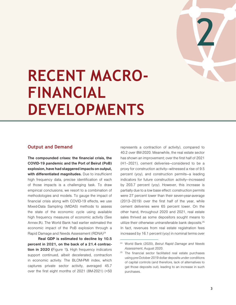

## <span id="page-24-0"></span>**RECENT MACRO-FINANCIAL DEVELOPMENTS**

## **Output and Demand**

**The compounded crises: the financial crisis, the COVID-19 pandemic and the Port of Beirut (PoB) explosion, have had staggered impacts on output, with differentiated magnitudes.** Due to insufficient high frequency data, precise identification of each of those impacts is a challenging task. To draw empirical conclusions, we resort to a combination of methodologies and models. To gauge the impact of financial crisis along with COVID-19 effects, we use Mixed-Data Sampling (MIDAS) methods to assess the state of the economic cycle using available high frequency measures of economic activity (See Annex  $A$ ). The World Bank had earlier estimated the economic impact of the PoB explosion through a Rapid Damage and Needs Assessment (RDNA)<sup>24</sup>

**Real GDP is estimated to decline by 10.5 percent in 2021, on the back of a 21.4 contraction in 2020 (**Figure 1**).** High frequency indicators support continued, albeit decelerated, contraction in economic activity. The BLOM-PMI index, which captures private sector activity, averaged 45.7 over the first eight months of 2021 (8M-2021) (<50 represents a contraction of activity), compared to 40.2 over 8M-2020. Meanwhile, the real estate sector has shown an improvement; over the first half of 2021 (H1–2021), cement deliveries—considered to be a proxy for construction activity—witnessed a rise of 9.5 percent (yoy), and construction permits—a leading indicators for future construction activity—increased by 203.7 percent (yoy). However, this increase is partially due to a low base effect: construction permits were 27 percent lower than their seven-year-average (2013–2019) over the first half of the year, while cement deliveries were 65 percent lower. On the other hand, throughout 2020 and 2021, real estate sales thrived as some depositors sought means to utilize their otherwise untransferable bank deposits.<sup>25</sup> In fact, revenues from real estate registration fees increased by 16.1 percent (yoy) in nominal terms over

<sup>24</sup>World Bank (2020), *Beirut Rapid Damage and Needs Assessment*, August 2020.

<sup>&</sup>lt;sup>25</sup> The financial sector facilitated real estate purchases using pre-October 2019 dollar deposits under conditions of capital controls (and therefore, lack of alternatives to get those deposits out), leading to an increase in such purchases.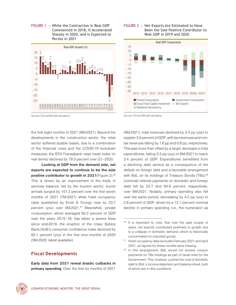<span id="page-25-0"></span>FIGuRE 1 • While the Contraction in Real GDP Commenced in 2018, It Accelerated Sharply in 2020, and Is Expected to Persist in 2021



#### FIGuRE 2 • Net Exports Are Estimated to Have Been the Sole Positive Contributor to Real GDP in 2019 and 2020



*Sources*: CAS and WB staff calculations.

*Sources*: CAS and WB staff calculations.

the first eight months of 2021 (8M-2021). Beyond the developments in the construction sector, the retail sector suffered sizable losses, due to a combination of the financial crisis and the COVID-19 lockdown measures; the BTA Fransabank retail trade index (in real terms) declined by 79.3 percent over Q1–2020.

**Looking at GDP from the demand side, net exports are expected to continue to be the sole positive contributor to growth in 2021**(Figure 2).<sup>26</sup> This is driven by an improvement in the trade in services balance, led by the tourism sector; tourist arrivals surged by 101.2 percent over the first seven months of 2021 (7M-2021) while hotel occupancy rates (published by Ernst & Young) rose by 23.7 percent (yoy) over 5M-2021.<sup>27</sup> Meanwhile, private consumption, which averaged 92.3 percent of GDP over the years 2015–18, has taken a severe blow since end-2019, the eruption of the crisis; Byblos Bank/AUB's consumer confidence index declined by 65.1 percent (yoy) in the first nine months of 2020 (9M-2020; latest available).

## **Fiscal Developments**

**Early data from 2021 reveal drastic cutbacks in primary spending**. Over the first six months of 2021

(6M-2021), total revenues declined by 2.4 pp (yoy) to register 3.5 percent of GDP, with tax revenues and nontax revenues falling by 1.6 pp and 0.8 pp, respectively. This was more than offset by a larger decrease in total expenditures, falling 5.3 pp (yoy) in 6M-2021 to reach 3.4 percent of GDP. Expenditures benefitted from a declining debt service as a consequence of the default on foreign debt and a favorable arrangement with BdL on its holdings of Treasury Bonds (TBs);<sup>28</sup> (nominal) interest payments on domestic and foreign debt fell by 22.7 and 84.9 percent, respectively, over 6M-2021. Notably, primary spending also fell over the same period, decreasing by 4.2 pp (yoy) to 2.8 percent of GDP, driven by a 12.1 percent nominal decline in primary spending (i.e., the numerator) as



 $26$  It is important to note, that over the past couple of years, net exports contributed positively to growth due to a collapse in domestic demand, which is historically concentrated on imported goods.

<sup>&</sup>lt;sup>27</sup> Hotel occupancy data excludes February 2021 and April 2021, as figures for these months were missing.

<sup>&</sup>lt;sup>28</sup> In this arrangement, BdL would not receive coupon payments on TBs holdings as part of fiscal relief for the Government. This, however, pushes the cost of domestic debt to BdL's income statement and balance sheet, both of which are in dire conditions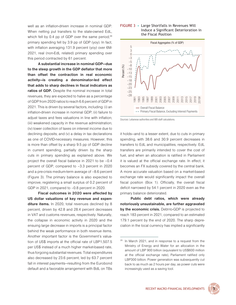<span id="page-26-0"></span>well as an inflation-driven increase in nominal GDP. When netting put transfers to the state-owned EdL, which fell by 0.4 pp of GDP over the same period, $29$ primary spending fell by 3.9 pp of GDP (yoy). In fact, with inflation averaging 131.9 percent (yoy) over 6M-2021, real (non-EdL related) primary spending over this period contracted by 61 percent.

**A substantial increase in nominal GDP—due to the steep growth in the GDP deflator that more than offset the contraction in real economic activity—is creating a denominator-led effect that adds to sharp declines in fiscal indicators as ratios of GDP.** Despite the nominal increase in total revenues, they are expected to halve as a percentage of GDP from 2020 ratios to reach 6.6 percent of GDP in 2021. This is driven by several factors, including: (i) an inflation-driven increase in nominal GDP; (ii) failure to adjust taxes and fees valuations in line with inflation; (iii) weakened capacity in the revenue administration; (iv) lower collection of taxes on interest income due to declining deposits; and (v) a delay in tax declarations as one of COVID-necessary measures. However, this is more than offset by a sharp 9.5 pp of GDP decline in current spending, partially driven by the sharp cuts in primary spending as explained above. We project the overall fiscal balance in 2021 to be –0.4 percent of GDP, compared to –3.3 percent in 2020 and a pre-crisis medium-term average of –8.6 percent (Figure 3). The primary balance is also expected to improve, registering a small surplus of 0.2 percent of GDP in 2021, compared to –0.8 percent in 2020.

**Fiscal outcomes in 2020 were affected by US dollar valuations of key revenue and expenditure items.** In 2020, total revenues declined by 8 percent, driven by 42.8 and 28.4 percent decreases in VAT and customs revenues, respectively. Naturally, the collapse in economic activity in 2020 and the ensuing large decrease in imports is a principal factor behind the weak performance in both revenue items. Another important factor is the Government's valuation of US\$ imports at the official rate of LBP1,507.5 per US\$ instead of a much higher market-based rate, thus forgoing substantial revenues. Total expenditures also decreased by 23.6 percent, led by 63.7 percent fall in interest payments—resulting from the Eurobond default and a favorable arrangement with BdL on TBs

#### FIGuRE 3 • Large Shortfalls in Revenues Will Induce a Significant Deterioration in the Fiscal Position



*Sources*: Lebanese authorities and WB staff calculations.

it holds—and to a lesser extent, due to cuts in primary spending, with 38.6 and 30.9 percent decreases in transfers to EdL and municipalities, respectively. EdL transfers are primarily intended to cover the cost of fuel, and when an allocation is ratified in Parliament it is valued at the official exchange rate. In effect, it becomes an FX subsidy covered by the central bank. A more accurate valuation based on a market-based exchange rate would significantly impact the overall fiscal position (Box 1). Officially, the overall fiscal deficit narrowed by 54.1 percent in 2020 even as the primary balance deteriorated.

**Public debt ratios, which were already notoriously unsustainable, are further aggravated by the economic crisis.** Debt-to-GDP is projected to reach 183 percent in 2021, compared to an estimated 179.1 percent by the end of 2020. The sharp depreciation in the local currency has implied a significantly

<sup>&</sup>lt;sup>29</sup> In March 2021, and in response to a request from the Ministry of Energy and Water for an allocation in the amount of LBP 900 billion (equivalent to US\$600 million at the official exchange rate), Parliament ratified only LBP300 billion. Power generation was subsequently cut back to as much as 2 hours per day, as power cuts were increasingly used as a saving tool.

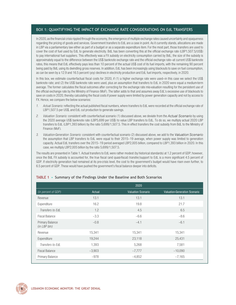### <span id="page-27-0"></span>BOx 1: quANTIFyING THE IMPACT OF ExCHANGE RATE CONSIDERATIONS ON EdL TRANSFERS

In 2020, as the financial crisis rippled through the economy, the emergence of multiple exchange rates caused uncertainty and opaqueness regarding the pricing of goods and services. Government transfers to EdL are a case in point. As it currently stands, allocations are made in LBP via a parliamentary law either as part of a budget or as a separate expenditure item. For the most part, those transfers are used to cover the cost of fuel used by EdL to generate electricity. BdL has been converting this at the official exchange rate (LBP1,507.5/US\$) to pay international fuel suppliers. This effectively was a FX subsidy on electricity consumption carried by BdL; the size of the subsidy is approximately equal to the difference between the US\$ banknote exchange rate and the official exchange rate—at current US\$ banknote rates, this means that EdL effectively pays less than 10 percent of the actual US\$ cost of its fuel imports, with the remaining 90 percent being paid by BdL using its dwindling gross reserves. In addition, EdL has been increasingly using blackouts to save on fuel consumption, as can be seen by a 12.9 and 16.5 percent (yoy) declines in electricity production and EdL fuel imports, respectively, in 2020.

In this box, we estimate counterfactual fiscal costs for 2020, if (1) a higher exchange rate were used—in this case we select the US\$ banknote rate; and (2) the US\$ banknote rate were used, plus an assumption that transfers to EdL in 2020 were equal a medium-term average. The former calculates the fiscal outcomes after correcting for the exchange rate mis-valuation resulting for the persistent use of the official exchange rate by the Ministry of Finance (MoF). The latter adds to that and assumes away EdL's excessive use of blackouts to save on costs in 2020, thereby calculating the fiscal costs if power supply were limited by power generation capacity and not by access to FX. Hence, we compare the below scenarios:

- *1. Actual Scenario:* reflecting the actual published fiscal numbers, where transfers to EdL were recorded at the official exchange rate of LBP1,507.5 per US\$, and EdL cut production to generate savings.
- *2. Valuation Scenario:* consistent with counterfactual scenario (1) discussed above, we deviate from the *Actual Scenario* by using the 2020 average US\$ banknote rate (LBP5,699 per US\$) to value LBP transfers to EdL. To do so, we multiply actual 2020 LBP transfers to EdL (LBP1,393 billion) by the ratio 5,699/1,507.5. This in effect transfers the cost subsidy from BdL to the Ministry of Finance (MoF).
- *3. Valuation-Generation Scenario:* consistent with counterfactual scenario (2) discussed above, we add to the *Valuation Scenario* the assumption that LBP transfers to EdL were equal to their 2015–19 average, when power supply was limited to generation capacity. Actual EdL transfers over the 2015–19 period averaged LBP2,005 billion, compared to LBP1,393 billion in 2020. In this case, we multiply LBP2,005 billion by the ratio 5,699/1,507.5.

The results are presented in Table 1. Actual transfers to EdL were rather modest (by historical standards) at 1.2 percent of GDP; however, once the BdL FX subsidy is accounted for, the true fiscal (and quasi-fiscal) transfer/support to EdL is a more significant 4.5 percent of GDP. If electricity generation had remained at its pre-crisis level, the cost to the government's budget would have risen even further, to 6.5 percent of GDP. These would have pushed the government's fiscal balance deeper into deficits.

|                                        |          | 2020                      |                                      |
|----------------------------------------|----------|---------------------------|--------------------------------------|
| (in percent of GDP)                    | Actual   | <b>Valuation Scenario</b> | <b>Valuation-Generation Scenario</b> |
| Revenue                                | 13.1     | 13.1                      | 13.1                                 |
| Expenditure                            | 16.2     | 19.8                      | 21.7                                 |
| Transfers to EdL                       | 1.2      | 4.5                       | 6.5                                  |
| <b>Fiscal Balance</b>                  | $-3.3$   | $-6.6$                    | $-8.6$                               |
| <b>Primary Balance</b><br>(in LBP bln) | $-0.8$   | $-4.1$                    | $-6.1$                               |
| Revenue                                | 15,341   | 15,341                    | 15,341                               |
| Expenditure                            | 19,244   | 23,118                    | 25,431                               |
| Transfers to EdL                       | 1,393    | 5,268                     | 7,581                                |
| <b>Fiscal Balance</b>                  | $-3,903$ | $-7,777$                  | $-10,090$                            |
| <b>Primary Balance</b>                 | $-978$   | $-4,852$                  | $-7,165$                             |

### TABLE 1 • Summary of the Findings under the Baseline and Both Scenarios

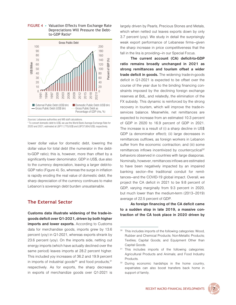

#### <span id="page-28-0"></span>FIGuRE 4 • valuation Effects from Exchange Rate Depreciations Will Pressure the Debtto-GDP Ratio<sup>a</sup>

*Sources*: Lebanese authorities and WB staff calculations.

<sup>a</sup> To convert domestic debt to US\$, we use the World Bank Average Exchange Rate for 2020 and 2021, estimated at LBP11,770/US\$ and LBP37,664/US\$, respectively.

lower dollar value for domestic debt, lowering the dollar value for total debt (the numerator in the debtto-GDP ratio); this is, however, more than offset by a significantly lower denominator, GDP in US\$, due also to the currency depreciation, leaving a larger debt-to-GDP ratio (Figure 4). So, whereas the surge in inflation is rapidly eroding the real value of domestic debt, the sharp depreciation of the currency continues to make Lebanon's sovereign debt burden unsustainable.

## **The External Sector**

**Customs data illustrate widening of the trade-ingoods deficit over Q1-2021, driven by both higher imports and lower exports.** According to Customs data for merchandise goods, imports grew by 13.6 percent (yoy) in Q1-2021, whereas exports shrank by 23.6 percent (yoy). On the imports side, netting out energy imports (which have actually declined over the same period) leaves imports at 28.2 percent higher. This included yoy increases of 36.2 and 19.9 percent in imports of industrial goods $30$  and food products,  $31$ respectively. As for exports, the sharp decrease in exports of merchandize goods over Q1-2021 is

largely driven by Pearls, Precious Stones and Metals, which when netted out leaves exports down by only 3.7 percent (yoy). We study in detail the surprisingly weak export performance of Lebanese firms—given the sharp increase in price competitiveness that the fall in the lira is providing—in our Special Focus.

**The current account (CA) deficit-to-GDP ratio remains broadly unchanged in 2021 as strong remittances and tourism offset a wider trade deficit in goods.** The widening trade-in-goods deficit in Q1-2021 is expected to be offset over the course of the year due to the binding financing constraints imposed by the declining foreign exchange reserves at BdL, and relatedly, the elimination of the FX subsidy. This dynamic is reinforced by the strong recovery in tourism, which will improve the trade-inservices balance. Meanwhile, net remittances are expected to increase from an estimated 10.3 percent of GDP in 2020 to 16.9 percent of GDP in 2021. The increase is a result of (i) a sharp decline in US\$ GDP (a denominator effect); (ii) large decreases in remittances outflows, as foreign workers in Lebanon suffer from the economic contraction; and (iii) some remittances inflows incentivized by countercyclical<sup>32</sup> behaviors observed in countries with large diasporas. Nominally, however, remittances inflows are estimated to have been negatively impacted by an impaired banking sector—the traditional conduit for remittances—and the COVID-19 global impact. Overall, we project the CA deficit in 2021 to be 9.8 percent of GDP, varying marginally from 9.3 percent in 2020, but much lower than the medium-term (2013–2019) average of 22.5 percent of GDP.

**As foreign financing of the CA deficit came to a sudden stop in late 2019, a massive contraction of the CA took place in 2020 driven by** 

<sup>&</sup>lt;sup>32</sup> During economic hardships in the home country, expatriates can also boost transfers back home in support of family.



<span id="page-28-1"></span><sup>&</sup>lt;sup>30</sup> This includes imports of the following categories: Wood, Rubber and Chemical Products; Non-Metallic Products; Textiles; Capital Goods; and Equipment Other than Capital Goods.

<sup>31</sup> This includes imports of the following categories: Agricultural Products and Animals; and Food Industry Products.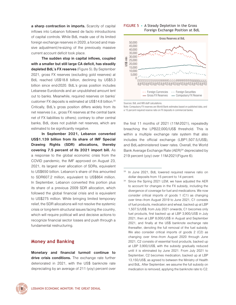<span id="page-29-0"></span>**a sharp contraction in imports.** Scarcity of capital inflows into Lebanon followed de facto introductions of capital controls. While BdL made use of its limited foreign exchange reserves in 2020, a forced and massive adjustment/re-sizing of the previously massive current account deficit took place.

**The sudden stop in capital inflows, coupled with a smaller but still large CA deficit, has steadily depleted BdL's FX reserves** (Figure 5). By September 2021, gross FX reserves (excluding gold reserves) at BdL reached US\$18.8 billion, declining by US\$5.3 billion since end-2020. BdL's gross position includes Lebanese Eurobonds and an unpublished amount lent out to banks. Meanwhile, required reserves on banks' customer FX deposits is estimated at US\$14.8 billion.<sup>33</sup> Critically, BdL's gross position differs widely from its net reserves (i.e., gross FX reserves at the central bank net of FX liabilities to others); contrary to other central banks, BdL does not publish net reserves, which are estimated to be significantly negative.

**In September 2021, Lebanon converted US\$1.139 billion from its share of IMF Special Drawing Rights (SDR) allocations, thereby covering 7.5 percent of its 2021 import bill.** As a response to the global economic crisis from the COVID pandemic, the IMF approved on August 23, 2021, its largest ever allocation of SDRs, equivalent to US\$650 billion. Lebanon's share of this amounted to SDR607.2 million, equivalent to US\$864 million. In September, Lebanon converted this portion plus its share of a previous 2009 SDR allocation, which followed the global financial crisis and is equivalent to US\$275 million. While bringing limited temporary relief, the SDR allocations will not resolve the systemic crisis or long-term structural issues facing the country, which will require political will and decisive actions to recognize financial sector losses and push through a fundamental restructuring.

## **Money and Banking**

**Monetary and financial turmoil continue to drive crisis conditions.** The exchange rate further deteriorated in 2021, with the US\$ banknote rate depreciating by an average of 211 (yoy) percent over

#### FIGuRE 5 • A Steady Depletion in the Gross Foreign Exchange Position at BdL



Sources: BdL and WB staff calculations.

Note: Compulsory FX reserves are World Bank estimates based on published data, and a 15 percent required reserve ratio on FX deposits in commercial banks.

the first 11 months of 2021 (11M-2021), repeatedly breaching the LPB22,000/US\$ threshold. This is within a multiple exchange rate system that also includes the official exchange (LBP1,507.5/US\$), and BdL-administered lower rates. Overall, the World Bank Average Exchange Rate (AER)<sup>34</sup> depreciated by 219 percent (yoy) over 11M-2021(Figure 6).

Since the Spring 2021 LEM, we have adjusted the AER to account for changes in the FX subsidy, including the divergence of coverage for fuel and medications. We now consider critical imports of goods 1 (C1) as changing over time—from August 2019 to June 2021, C1 consists of fuel products, medication and wheat, backed up at LBP 1,507.5/US\$; from July 2021 onwards, C1 becomes only fuel products, first backed up at LBP 3,900/US\$ in July 2021, then at LBP 8,000/US\$ in August and September 2021, and finally at the US\$ banknote exchange rate thereafter, denoting the full removal of the fuel subsidy. We also consider critical imports of goods 2 (C2) as changing over time—from August 2020 through June 2021, C2 consists of essential food products, backed up at LBP 3,900/US\$, with the subsidy gradually reduced until it is eliminated by June 2021. From July 2021 to September, C2 becomes medication, backed up at LBP 13,150/US\$, as agreed to between the Ministry of Health and BdL. After September, we assume the full subsidy on medication is removed, applying the banknote rate to C2.



In June 2021, BdL lowered required reserve ratio on dollar deposits from 15 percent to 14 percent.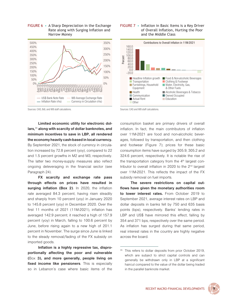<span id="page-30-0"></span>







Sources: CAS and WB staff calculations.

Sources: CAS, BdL and WB staff calculations.

**Limited economic utility for electronic dollars,**<sup>35</sup> **along with scarcity of dollar banknotes, and minimum incentives to save in LBP, all rendered the economy heavily cash-based in local currency.** By September 2021, the stock of currency in circulation increased by 72.8 percent (yoy), compared to 22 and 1.5 percent growths in M2 and M3, respectively. The latter two money-supply measures also reflect ongoing deleveraging in the financial sector (see Paragraph 24).

**FX scarcity and exchange rate pass through effects on prices have resulted in surging inflation (Box 2)**. In 2020, the inflation rate averaged 84.3 percent, having risen steadily and sharply from 10 percent (yoy) in January 2020 to 145.8 percent (yoy) in December 2020. Over the first 11 months of 2021 (11M-2021), inflation has averaged 142.9 percent; it reached a high of 157.9 percent (yoy) in March, falling to 100.6 percent by June, before rising again to a new high of 201.1 percent in November. The surge since June is linked to the steady removal/fading of the FX subsidy on imported goods.

**Inflation is a highly regressive tax, disproportionally affecting the poor and vulnerable (**Box **3), and more generally, people living on fixed income like pensioners**. This is especially so in Lebanon's case where basic items of the

consumption basket are primary drivers of overall inflation. In fact, the main contributors of inflation over 11M-2021 are food and non-alcoholic beverages, followed by transportation, and then clothing and footwear (Figure 7); prices for these basic consumption items have surged by 305.9, 305.2 and 324.6 percent, respectively. It is notable the rise of the transportation category from the  $4<sup>th</sup>$  largest contributor to overall inflation in 2020 to the  $2<sup>nd</sup>$  largest over 11M-2021. This reflects the impact of the FX subsidy removal on fuel imports.

**The severe restrictions on capital outflows have given the monetary authorities room to lower interest rates.** From October 2019 to September 2021, average interest rates on LBP and dollar deposits in banks fell by 750 and 635 basis points (bps), respectively. Banks' lending rates in LBP and US\$ have mirrored this effect, falling by 354 and 371 bps, respectively over the same period. As inflation has surged during that same period, real interest rates in the country are highly negative across the board.

<sup>&</sup>lt;sup>35</sup> This refers to dollar deposits from prior October 2019, which are subject to strict capital controls and can generally be withdrawn only in LBP at a significant haircut compared to the value of the dollar being traded in the parallel banknote market.

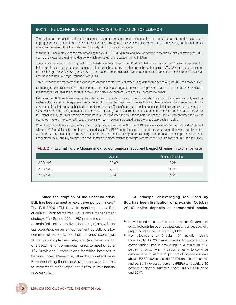## <span id="page-31-0"></span>BOx 2: THE ExCHANGE RATE PASS THROuGH TO INFLATION FOR LEBANON

The exchange rate pass-through effect on prices measures the extent to which fluctuations in the exchange rate lead to changes in aggregate prices (i.e., inflation). The Exchange Rate Pass-Through (ERPT) coefficient is, therefore, akin to an elasticity coefficient in that it measures the sensitivity of the Consumer Price Index (CPI) to the exchange rate.

With the US\$ banknote exchange rate breaching the 27,000 LBP/US\$ mark and inflation soaring to the triple digits, estimating the ERPT coefficient allows for gauging the degree to which exchange rate fluctuations drive inflation.

The simplest approach to gauging the ERPT is to estimate the change in the CPI,  $\Delta C Pl_{_P}$  that is due to a change in the exchange rate,  $\Delta E_{_P}$ . Estimates of the contemporaneous response of changes in the price level to changes in the exchange rate Δ*CPI<sup>t</sup>* /Δ*E t* , or to lagged changes in the exchange rate ΔCPI<sub>t</sub>/ΔE<sub>t-1</sub>, ΔCPI<sub>t</sub>/ΔE<sub>t-2</sub> can be computed from data on the CPI obtained from the Central Administration of Statistics and the World Bank Average Exchange Rate (AER).

[Table 2](#page-31-1) provides the estimates of the various pass-through coefficients estimated using data for the period August 2019 to October 2021.

Depending on the exact definition employed, the ERPT coefficient ranges from 59 to 89.3 percent. That is, a 100 percent depreciation in the exchange rate leads to an increase in the inflation rate ranging from 59 to about 90 percentage points.

Estimates the ERPT coefficient can also be obtained from more elaborate econometric models. The existing literature commonly employs well-specified Vector Autoregressive (VAR) models to gauge the response of prices to an exchange rate shock (see Annex B). The advantage of the latter approach is to allow for discerning the effects of exchange rate fluctuations on inflation over several horizons (one, six or twelve months). Using a trivariate VAR model comprising the AER, currency in circulation and the CPI for the period January 2008 to October 2021, the ERPT coefficient estimate is 56 percent when the VAR is estimated in changes and 77 percent when the VAR is estimated in levels. The latter estimates are consistent with the results obtained using the simple approach in [Table 2.](#page-31-1)

When the US\$ banknote exchange rate (BNR) is employed instead of the AER, the ERPT coefficients are, respectively, 28 and 67 percent when the VAR model is estimated in changes and levels. The EPRT coefficients in this case form a wider range than when employing the AER in the VARs, indicating that the AER better controls for the pass-through of the exchange rate to prices. An example is that the AER accounts for the FX subsidy on imported goods that were in place, which was an important factor on prices from end of 2019 to early 2021.

|                                 | Average | <b>Standard Deviation</b> |
|---------------------------------|---------|---------------------------|
| $\Delta CPI_{1}/\Delta E_{1}$   | 59.0%   | 17.0%                     |
| $\Delta CPI_{t}/\Delta E_{t-1}$ | 70.4%   | 21.7%                     |
| $\Delta CPl_{t}/\Delta E_{t-2}$ | 89.3%   | 45.3%                     |

<span id="page-31-1"></span>TABLE 2 • Estimating the Change in CPI to Contemporaneous and Lagged Changes in Exchange Rate

**Since the eruption of the financial crisis, BdL has been almost an exclusive policy maker.**<sup>36</sup> The Fall 2020 LEM listed in detail the many BdL circulars, which formalized BdL's crisis management strategy. The Spring 2021 LEM presented an update on main BdL policy initiatives, including (i) a new financial operation; (ii) an announcement by BdL to allow commercial banks to conduct currency exchanges at the Sayrafa platform rate; and (iii) the expiration of a deadline for commercial banks to meet Circular 154 provisions, $37$  conclusions for which have yet to be announced. Meanwhile, other than a default on its Eurobond obligations, the Government was not able to implement other important pillars in its financial recovery plan.

**A principal deleveraging tool used by BdL has been lirafication of pre-crisis (October 2019) dollar deposits at commercial banks.**



Notwithstanding a brief period in which Government defaulted on its Eurobond obligations and unsuccessfully proposed its Financial Recovery Plan.

<sup>&</sup>lt;sup>37</sup> Key stipulations of Circular 154 include: raising bank capital by 20 percent; banks to place funds in correspondent banks amounting to a minimum of 3 percent of customers' FX deposits; banks to convince customers to repatriate 15 percent of deposit outflows above US\$500,000 since end-2017; banks' shareholders and politically exposed persons (PEPs) to repatriate 30 percent of deposit outflows above US\$500,000 since end-2017.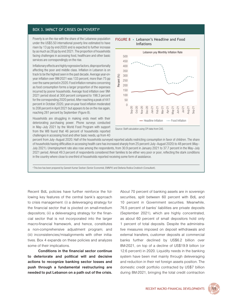### <span id="page-32-0"></span>BOX 3. IMPACT OF CRISES ON POVERTY<sup>a</sup>

Poverty is on the rise with the share of the Lebanese population under the US\$5.50 international poverty line estimated to have risen by 13 pp by end-2020 and is expected to further increase by as much as 28 pp by end 2021. The proportion of households facing challenges in accessing food, healthcare and other basic services are correspondingly on the rise.

Inflationary effects are highly regressive factors, disproportionally affecting the poor and middle class. Inflation in Lebanon is on track to be the highest seen in the past decade. Average year-onyear inflation over 9M-2021 was 133 percent, more than 75 pp over the same period in 2020. Food inflation remains concerning as food consumption forms a larger proportion of the expenses incurred by poorer households. Average food inflation over 9M-2021 period stood at 300 percent compared to 198.3 percent for the corresponding 2020 period. After reaching a peak of 441 percent in October 2020, year-on-year food inflation moderated to 208 percent in April 2021 but appears to be on the rise again, reaching 281 percent by September (Figure 8).

Households are struggling in making ends meet with their deteriorating purchasing power. Phone surveys conducted in May–July 2021 by the World Food Program with support from the WB found that 46 percent of households reported challenges in accessing food and other basic needs, up from 40

#### FIGuRE 8 • Lebanon's Headline and Food Inflations



Source: Staff calculation using CPI data from CAS.

percent from July–August 2020. Half of the households surveyed reported adults restricting consumption in favor of children. The share of households having difficulties in accessing health care has increased sharply from 25 percent (July–August 2020) to 48 percent (May– July 2021). Unemployment rate also rose among the respondents, from 30.9 percent in January 2021 to 37.7 percent in the May–July 2021 period. Almost 49.3 percent of respondents considered their families to be either very poor or poor, reflecting the stark conditions in the country where close to one-third of households reported receiving some form of assistance.

aThis box has been prepared by Ganesh Kumar Seshan (Senior Economist, EMNPV) and Stefania Rodica Cnobloch (Consultant).

Recent BdL policies have further reinforce the following key features of the central bank's approach to crisis management: (i) a deleveraging strategy for the financial sector that is pivoted on small-medium depositors; (ii) a deleveraging strategy for the financial sector that is not incorporated into the larger macro-financial framework, and hence, constitutes a non-comprehensive adjustment program; and (iii) inconsistencies/misalignments with other initiatives. Box 4 expands on these policies and analyzes some of their implications.

**Conditions in the financial sector continue to deteriorate and political will and decisive actions to recognize banking sector losses and push through a fundamental restructuring are needed to put Lebanon on a path out of the crisis.**

About 70 percent of banking assets are in sovereign securities, split between 60 percent with BdL and 10 percent in Government securities. Meanwhile, 76.5 percent of banks' liabilities are private deposits (September 2021), which are highly concentrated, as about 60 percent of small depositors hold only 1 percent of total deposits. Despite the administrative measures imposed on deposit withdrawals and external transfers, customer deposits at commercial banks further declined by US\$6.2 billion over 8M-2021, on top of a decline of US\$19.9 billion (or 12.6 percent) in 2020. Liquidity needs in the banking system have been met mainly through deleveraging and reduction in their net foreign assets position. The domestic credit portfolio contracted by US\$7 billion during 8M-2021, bringing the total credit contraction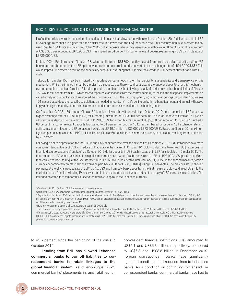### <span id="page-33-0"></span>BOX 4. KEY BdL POLICIES ON DELEvERAGING THE FINANCIAL SECTOR

Lirafication policies were first enshrined in a series of circulars<sup>a</sup> that allowed the withdrawal of pre-October 2019 dollar deposits in LBP at exchange rates that are higher than the official rate, but lower than the US\$ banknote rate. Until recently, banks' customers mainly used Circular 151 to access their pre-October 2019 dollar deposits, where they were able to withdraw in LBP up to a monthly maximum of US\$5,000 per account at LBP3,900/US\$. This implied an 84 percent haircut on relevant deposits—assuming a US\$ banknote rate of LBP25,000/US\$.

In June 2021, BdL introduced Circular 158, which facilitates an US\$800 monthly payout from pre-crisis dollar deposits, half in US\$ banknotes and the other half in LBP split between cash and electronic credit, converted at an exchange rate of LBP12,000/US\$.<sup>b</sup> This would imply a 26 percent haircut on the beneficiary accounts<sup>c</sup> assuming that LBP electronic credit is 100 percent substitutable with LBP cash.

Take-up for Circular 158 may be inhibited by important concerns touching on the credibility, sustainability and transparency of this mechanism**.** While the implied haircut by Circular 158 suggests that there would be a clear preference by depositors for this mechanism over other options, such as Circular 151, take-up could be inhibited by the following: (i) lack of clarity on whether beneficiaries of Circular 158 would still benefit from 151, which forced repeated clarifications from the central bank; (ii) at least in the first phase, implementation varied widely across banks, which reinforced the confidence crisis in the banking system; (iii) withdrawal ceilings on Circulars 158 versus 151 necessitated depositor-specific calculations on needed amounts; (iv) 158's ceiling on both the benefit amount and annual withdraws imply a multi-year maturity, a non-credible promise under current crisis conditions in the banking sector.

On December 9, 2021, BdL issued Circular 601, which allowed the withdrawal of pre-October 2019 dollar deposits in LBP at a new higher exchange rate of LBP8,000/US\$, for a monthly maximum of US\$3,000 per account. This is an update to Circular 151 (which allowed these deposits to be withdrawn at LBP3,900/US\$ for a monthly maximum of US\$5,000 per account). Circular 601 implied a 68 percent haircut on relevant deposits (compared to 84 percent for Circular 151). Further, based on Circular 151 exchange rate and ceiling, maximum injection of LBP per account would be LBP19.5 million (US\$5,000 x LBP3,900/US\$). Based on Circular 601, maximum injection per account would be LBP24 million. Hence, Circular 601 can in theory increase currency in circulation resulting from Lirafication by 23 percent.

Following a sharp depreciation for the LBP in the US\$ banknote rate over the first half of December 2021,<sup>d</sup> BdL introduced two more measures intended to inject US\$ and reduce LBP liquidity in the market. In Circular 161, BdL would provide banks with US\$ resources for them to disburse customers' quota of pre-October 2019 dollar deposits in US\$ cash instead of in LBP (as stipulated in Circular 601). The final amount in US\$ would be subject to a significant haircut since it would first be converted to LBP at LBP8,000/US\$ (per Circular 601), then converted back to US\$ at the Sayrafa rate.<sup>e</sup> Circular 161 would be effective until January 31, 2022. In the second measure, foreign currency denominated commercial loans would be paid back in LBP at LBP8,000/US\$ using LBP banknotes. The previous set up allowed payments at the official pegged rate of LBP1507.5/US\$ and from LBP bank deposits. In the first measure, BdL would inject US\$ into the market, sourced from its dwindling FX reserves, and in the second measure it would reduce the supply of LBP currency in circulation. The intended objective is to temporarily suspend the downward spiral in the Lebanese currency.

a Circulars 148, 151, 549 and 565. For more details, please refer to:

World Bank (2020), *The Deliberate Depression* the Lebanon Economic Monitor, Fall 2020 Issue.

b Key provisions for circular 158 include: banks to open special subaccounts for beneficiaries, such that the total amount of all subaccounts would not exceed US\$ 50,000 per beneficiary, from which a maximum of around US\$ 10,000 can be dispersed annually; beneficiaries would lift bank secrecy on the said subaccounts; these subaccounts would be precluded benefiting from circular 151.

c Here too, we assume that the US\$ banknote rate is at LBP 25,000/US\$.

d The Lebanese currency depreciated by around 22 percent in the US\$ banknote market over the December 3–16, 2021 period to breach LBP28,000/US\$.

e For example, if a customer wants to withdraw US\$100 from their pre-October 2019 dollar deposit account, then according to Circular 601, this should come up to LBP800,000. Assuming the Sayrafa exchange rate for that day is LBP23,000/US\$, then per Circular 161, the customer would get US\$34.8 in cash, constituting a 65 percent haircut on the original amount.

to 41.5 percent since the beginning of the crisis in October 2019.

**Lending from BdL has allowed Lebanese commercial banks to pay off liabilities to correspondent banks to retain linkages to the global financial system.** As of end-August 2021, commercial banks' placements in, and liabilities for, non-resident financial institutions (FIs) amounted to US\$5.1 and US\$5.3 billion, respectively, compared to US\$6.8 and US\$8.8 billion in December 2019. Foreign correspondent banks have significantly tightened conditions and reduced lines to Lebanese banks. As a condition on continuing to transact via correspondent banks, commercial banks have had to

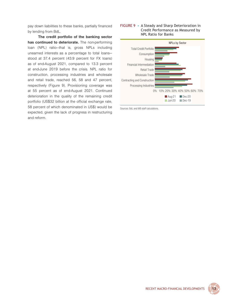<span id="page-34-0"></span>pay down liabilities to these banks, partially financed by lending from BdL.

**The credit portfolio of the banking sector has continued to deteriorate.** The non-performing loan (NPL) ratio—that is, gross NPLs including unearned interests as a percentage to total loans stood at 37.4 percent (43.9 percent for FX loans) as of end-August 2021, compared to 13.3 percent at end-June 2019 before the crisis. NPL ratio for construction, processing industries and wholesale and retail trade, reached 56, 58 and 47 percent, respectively (Figure 9). Provisioning coverage was at 55 percent as of end-August 2021. Continued deterioration in the quality of the remaining credit portfolio (US\$32 billion at the official exchange rate, 58 percent of which denominated in US\$) would be expected, given the lack of progress in restructuring and reform.

### FIGuRE 9 • A Steady and Sharp Deterioration in Credit Performance as Measured by NPL Ratio for Banks



Sources: BdL and WB staff calculations.

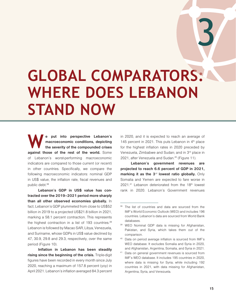## <span id="page-36-0"></span>**GLOBAL COMPARATORS: WHERE DOES LEBANON STAND NOW**

**W e put into perspective Lebanon's macroeconomic conditions, depicting the severity of the compounded crises against those of the rest of the world.** Some of Lebanon's worst-performing macroeconomic indicators are compared to those current (or recent) in other countries. Specifically, we compare the following macroeconomic indicators: nominal GDP in US\$ value, the inflation rate, fiscal revenues and public debt.<sup>38</sup>

**Lebanon's GDP in US\$ value has contracted over the 2019–2021 period more sharply than all other observed economies globally.** In fact, Lebanon's GDP plummeted from close to US\$52 billion in 2019 to a projected US\$21.8 billion in 2021, marking a 58.1 percent contraction. This represents the highest contraction in a list of 193 countries.<sup>39</sup> Lebanon is followed by Macao SAR, Libya, Venezuela, and Suriname, whose GDPs in US\$ value declined by 47, 30.9, 29.8 and 29.3, respectively, over the same period (Figure 10).

**Inflation in Lebanon has been steadily rising since the beginning of the crisis.** Triple-digit figures have been recorded in every month since July 2020, reaching a maximum of 157.8 percent (yoy) in April 2021. Lebanon's inflation averaged 84.3 percent in 2020, and it is expected to reach an average of 145 percent in 2021. This puts Lebanon in 4<sup>th</sup> place for the highest inflation rates in 2020 preceded by Venezuela, Zimbabwe and Sudan; and in 3rd place in 2021, after Venezuela and Sudan.<sup>40</sup> (Figure 11).

**Lebanon's government revenues are projected to reach 6.6 percent of GDP in 2021, marking it as the 3<sup>rd</sup> lowest ratio globally.** Only Somalia and Yemen are expected to fare worse in  $2021.^41$  Lebanon deteriorated from the 18<sup>th</sup> lowest rank in 2020. Lebanon's Government revenues

3

<sup>&</sup>lt;sup>38</sup> The list of countries and data are sourced from the IMF's World Economic Outlook (WEO) and includes 196 countries. Lebanon's data are sourced from World Bank databases.

<sup>39</sup> WEO Nominal GDP data is missing for Afghanistan, Pakistan, and Syria, which takes them out of the comparison.

<sup>&</sup>lt;sup>40</sup> Data on period average inflation is sourced from IMF's WEO database. It excludes Somalia and Syria in 2020, and Afghanistan, Argentina, Somalia, and Syria in 2021.

<sup>&</sup>lt;sup>41</sup> Data on general government revenues is sourced from IMF's WEO database. It includes 195 countries in 2020, where data is missing for Syria; while including 192 countries in 2021, with data missing for Afghanistan, Argentina, Syria, and Venezuela.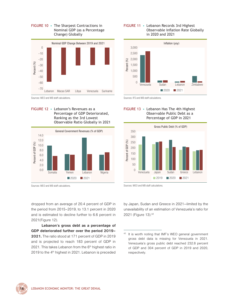### <span id="page-37-0"></span>FIGuRE 10 • The Sharpest Contractions in Nominal GDP (as a Percentage Change) Globally



Sources: WEO and WB staff calculations.

#### FIGuRE 12 • Lebanon's Revenues as a Percentage of GDP Deteriorated, Ranking as the 3rd Lowest Observable Ratio Globally in 2021



Sources: WEO and WB staff calculations.

dropped from an average of 20.4 percent of GDP in the period from 2015–2019, to 13.1 percent in 2020 and is estimated to decline further to 6.6 percent in 2021(Figure 12).

**Lebanon's gross debt as a percentage of GDP deteriorated further over the period 2019– 2021.** The ratio stood at 171 percent of GDP in 2019 and is projected to reach 183 percent of GDP in 2021. This takes Lebanon from the  $6<sup>th</sup>$  highest ratio in 2019 to the 4<sup>th</sup> highest in 2021. Lebanon is preceded

#### FIGuRE 11 • Lebanon Records 3rd Highest Observable Inflation Rate Globally in 2020 and 2021



Sources: IFS and WB staff calculations.





Sources: WEO and WB staff calculations.

by Japan, Sudan and Greece in 2021—limited by the unavailability of an estimation of Venezuela's ratio for 2021 (Figure 13).<sup>42</sup>



It is worth noting that IMF's WEO general government gross debt data is missing for Venezuela in 2021. Venezuela's gross public debt reached 232.8 percent of GDP and 304 percent of GDP in 2019 and 2020, respectively.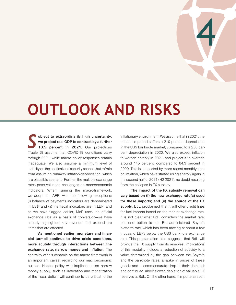

## <span id="page-38-0"></span>**OUTLOOK AND RISKS**

*S* **ubject to extraordinarily high uncertainty, we project real GDP to contract by a further**  10.5 percent in 2021. Our projections (Table 3) assume that COVID-19 conditions carry through 2021, while macro policy responses remain inadequate. We also assume a minimum level of stability on the political and security scenes, but refrain from assuming runaway inflation-depreciation, which is a plausible scenario. Further, the multiple exchange rates pose valuation challenges on macroeconomic indicators. When running the macro-framework, we adopt the AER, with the following exceptions: (i) balance of payments indicators are denominated in US\$; and (ii) the fiscal indicators are in LBP, and as we have flagged earlier, MoF uses the official exchange rate as a basis of conversion—we have already highlighted key revenue and expenditure items that are affected.

**As mentioned earlier, monetary and financial turmoil continue to drive crisis conditions, more acutely through interactions between the exchange rate, narrow money and inflation.** The centrality of this dynamic on the macro framework is an important caveat regarding our macroeconomic outlook. Hence, policy with implications on narrow money supply, such as lirafication and monetization of the fiscal deficit, will continue to be critical to the inflationary environment. We assume that in 2021, the Lebanese pound suffers a 210 percent depreciation in the US\$ banknote market, compared to a 250 percent depreciation in 2020. We also expect inflation to worsen notably in 2021, and project it to average around 145 percent, compared to 84.3 percent in 2020. This is supported by more recent monthly data on inflation, which have started rising sharply again in the second half of 2021 (H2-2021), no doubt resulting from the collapse in FX subsidy.

**The impact of the FX subsidy removal can vary based on (i) the new exchange rate(s) used for these imports; and (ii) the source of the FX**  supply. BdL proclaimed that it will offer credit lines for fuel imports based on the market exchange rate. It is not clear what BdL considers the market rate, but one option is the BdL-administered Sayrafa platform rate, which has been moving at about a few thousand LBPs below the US\$ banknote exchange rate. This proclamation also suggests that BdL will provide the FX supply from its reserves. Implications of this modality include: a reduction of subsidy to a value determined by the gap between the Sayrafa and the banknote rates; a spike in prices of these goods and a commensurate drop in their demand; and continued, albeit slower, depletion of valuable FX reserves at BdL. On the other hand, if importers resort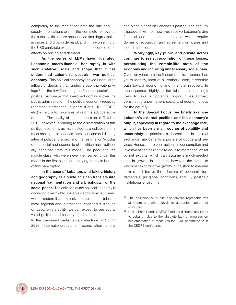completely to the market for both the rate and FX supply, implications are: (i) the complete removal of the subsidy; (ii) a more pronounced first-degree spike in prices and drop in demand; and (iii) a worsening of the US\$ banknote exchange rate and second-degree effects on pricing and demand.

**As the series of LEMs have illustrated, Lebanon's macro-financial bankruptcy is with such (relative) scale and scope that it has undermined Lebanon's post-civil war political economy.** This political economy thrived under large inflows of deposits that funded a public-private privilege43 for the few (including the financial sector) and political patronage that exercised dominion over the public administration. The political economy received repeated international support (Paris I-III, CEDRE, etc.) in return for promises of reforms advocated by donors.44 The finality of the sudden stop in October 2019, however, is leading to the disintegration of this political economy, as manifested by a collapse of the most basic public services, persistent and debilitating internal political discord, and the resignation/exodus of the social and economic elite, which has traditionally benefited from this model. The poor and the middle class, who were never well served under this model in the first place, are carrying the main burden of this bankruptcy.

**In the case of Lebanon, and taking history and geography as a guide, this can translate into national fragmentation and a breakdown of the social peace.** The collapse of the political economy is occurring over highly unstable geopolitical fault lines, which renders it an explosive combination. Unless a local, regional and international consensus is found on Lebanon's stability, we can expect to see aggravated political and security conditions in the lead-up to the presumed parliamentary elections in Spring 2022. International-regional reconciliation efforts

can place a floor on Lebanon's political and security slippage. It will not, however, resolve Lebanon's dire financial and economic conditions, which require domestic recognition and agreement on losses and their distribution.

**Worryingly, key public and private actors continue to resist recognition of these losses, perpetuating the zombie-like state of the economy and incurring unnecessary social pain.** Over two years into the financial crisis, Lebanon has yet to identify, least of all embark upon, a credible path toward economic and financial recovery. In consequence, highly skilled labor is increasingly likely to take up potential opportunities abroad, constituting a permanent social and economic loss for the country.

**In the Special Focus, we briefly examine Lebanon's external position and the economy's output, especially in regard to the exchange rate, which has been a main source of volatility and uncertainty**. In principle, a depreciation in the real exchange rate benefits exporters of goods and services. Hence, sharp contractions in consumption and investment can be (partially/equally/more than) offset by net exports, which can assume a much-needed lead in growth. In Lebanon, however, the extent to which net exports drive growth in the short to medium term is inhibited by three factors: (i) economic fundamentals; (ii) global conditions; and (iii) political/ institutional environment.

<sup>&</sup>lt;sup>43</sup> The collusion of public and private representatives at macro and micro levels to guarantee capture of resources.

<sup>44</sup> Unlike Paris II and III, CEDRE did not disburse any funds to Lebanon due to the absolute lack of progress on implementation of measures that GoL committed to in the CEDRE conference.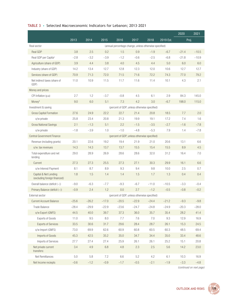## TABLE 3 • Selected Macroeconomic Indicators for Lebanon; 2013–2021

|                                                                                   |         |         |         |                                              |          |         |           | 2020    | 2021    |
|-----------------------------------------------------------------------------------|---------|---------|---------|----------------------------------------------|----------|---------|-----------|---------|---------|
|                                                                                   | 2013    | 2014    | 2015    | 2016                                         | 2017     | 2018    | 2019 Est. | Proj.   |         |
| (annual percentage change, unless otherwise specified)<br>Real sector             |         |         |         |                                              |          |         |           |         |         |
| Real GDP                                                                          | 3.8     | 2.5     | 0.2     | 1.5                                          | 0.9      | $-1.9$  | $-6.7$    | $-21.4$ | $-10.5$ |
| Real GDP per Capita <sup>a</sup>                                                  | $-2.8$  | $-3.2$  | $-3.9$  | $-1.2$                                       | $-0.6$   | $-2.5$  | $-6.8$    | $-21.8$ | $-10.9$ |
| Agriculture (share of GDP)                                                        | 3.9     | 4.4     | 3.8     | 4.0                                          | 4.5      | 4.4     | 5.0       | 6.0     | 6.0     |
| Industry (share of GDP)                                                           | 14.2    | 13.4    | 12.7    | 12.8                                         | 12.3     | 12.0    | 10.6      | 12.7    | 12.7    |
| Services (share of GDP)                                                           | 70.9    | 71.3    | 72.0    | 71.5                                         | 71.6     | 72.2    | 74.3      | 77.0    | 79.2    |
| Net indirect taxes (share of<br>GDP)                                              | 11.0    | 10.9    | 11.5    | 11.7                                         | 11.6     | 11.4    | 10.1      | 4.3     | 2.1     |
| Money and prices                                                                  |         |         |         |                                              |          |         |           |         |         |
| CPI Inflation (p.a)                                                               | 2.7     | 1.2     | $-3.7$  | $-0.8$                                       | 4.5      | 6.1     | 2.9       | 84.3    | 145.0   |
| Moneyb                                                                            | 9.0     | 6.0     | 5.1     | 7.3                                          | 4.2      | 3.0     | $-6.7$    | 198.0   | 115.0   |
| Investment & saving                                                               |         |         |         | (percent of GDP, unless otherwise specified) |          |         |           |         |         |
| <b>Gross Capital Formation</b>                                                    | 27.6    | 24.9    | 22.2    | 22.7                                         | 21.4     | 20.8    | 18.5      | 7.7     | 2.0     |
| o/w private                                                                       | 25.8    | 23.4    | 20.8    | 21.3                                         | 19.9     | 19.1    | 17.2      | 7.4     | 1.6     |
| <b>Gross National Savings</b>                                                     | 2.1     | $-1.3$  | 5.1     | 2.2                                          | $-1.5$   | $-3.5$  | $-2.7$    | $-1.6$  | $-7.8$  |
| o/w private                                                                       | $-1.8$  | $-3.9$  | 1.0     | $-1.0$                                       | $-4.8$   | $-5.3$  | 7.9       | 1.4     | $-7.8$  |
| <b>Central Government Finance</b><br>(percent of GDP, unless otherwise specified) |         |         |         |                                              |          |         |           |         |         |
| Revenue (including grants)                                                        | 20.1    | 22.6    | 19.2    | 19.4                                         | 21.9     | 21.0    | 20.6      | 13.1    | 6.6     |
| o/w. tax revenues                                                                 | 14.3    | 14.3    | 13.7    | 13.7                                         | 15.5     | 15.4    | 15.5      | 8.9     | 4.5     |
| Total expenditure and net<br>lending                                              | 29.0    | 28.9    | 26.9    | 28.6                                         | 28.6     | 32.0    | 31.2      | 16.4    | 7.0     |
| Current                                                                           | 27.3    | 27.3    | 25.5    | 27.3                                         | 27.1     | 30.3    | 29.9      | 16.1    | 6.6     |
| o/w Interest Payment                                                              | 8.1     | 8.7     | 8.9     | 9.3                                          | 9.4      | 9.8     | 10.0      | 2.5     | 0.7     |
| Capital & Net Lending<br>(excluding foreign financed)                             | 1.8     | 1.5     | 1.4     | 1.4                                          | 1.5      | 1.7     | 1.3       | 0.4     | 0.4     |
| Overall balance (deficit (-))                                                     | $-9.0$  | $-6.3$  | $-7.7$  | $-9.3$                                       | $-6.7$   | $-11.0$ | $-10.5$   | $-3.3$  | $-0.4$  |
| Primary Balance (deficit (-))                                                     | $-0.9$  | 2.4     | 1.2     | 0.0                                          | 2.7      | $-1.2$  | $-0.5$    | $-0.8$  | $-0.2$  |
| External sector                                                                   |         |         |         | (percent of GDP, unless otherwise specified) |          |         |           |         |         |
| <b>Current Account Balance</b>                                                    | $-25.6$ | $-26.2$ | $-17.0$ | $-20.5$                                      | $-22.9$  | $-24.4$ | $-21.2$   | $-9.3$  | $-9.8$  |
| Trade Balance                                                                     | $-28.4$ | $-29.9$ | $-22.9$ | $-23.6$                                      | $-24.7$  | $-24.8$ | $-24.9$   | $-20.3$ | $-28.0$ |
| o/w Export (GNFS)                                                                 | 44.5    | 40.0    | 39.7    | 37.3                                         | $36.0\,$ | 35.7    | 35.4      | 28.2    | 41.4    |
| <b>Exports of Goods</b>                                                           | 11.0    | 9.5     | 8.0     | 7.7                                          | $7.6\,$  | 7.0     | 9.3       | 12.9    | 16.9    |
| <b>Exports of Services</b>                                                        | 33.5    | 30.6    | 31.7    | 29.6                                         | 28.4     | 28.7    | 26.1      | 15.3    | 24.5    |
| o/w Import (GNFS)                                                                 | 73.0    | 69.9    | 62.6    | 60.9                                         | 60.8     | 60.5    | 60.3      | 48.5    | 69.4    |
| Imports of Goods                                                                  | 45.3    | 42.5    | 35.2    | 35.0                                         | 34.7     | 34.4    | 35.0      | 33.4    | 48.6    |
| Imports of Services                                                               | 27.7    | 27.4    | 27.4    | 25.9                                         | 26.1     | 26.1    | 25.2      | 15.1    | 20.8    |
| Net private current<br>transfers:                                                 | 3.4     | 4.9     | $6.8\,$ | 4.8                                          | 2.3      | 2.5     | $5.6\,$   | 14.2    | 23.0    |
| Net Remittances                                                                   | 5.0     | 5.8     | $7.2\,$ | $6.6\,$                                      | $5.2\,$  | 4.2     | 6.1       | 10.3    | 16.9    |
| Net Income reciepts                                                               | $-0.6$  | $-1.2$  | $-0.9$  | $-1.7$                                       | $-0.5$   | $-2.1$  | $-1.9$    | $-3.3$  | $-4.8$  |

*(continued on next page)*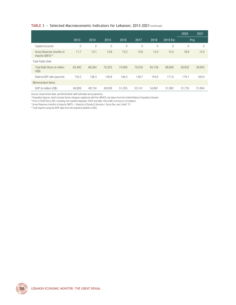#### TABLE 3 • Selected Macroeconomic Indicators for Lebanon; 2013–2021 *(continued)*

|                                                           |        |          |        |        |          |                |           | 2020           | 2021   |
|-----------------------------------------------------------|--------|----------|--------|--------|----------|----------------|-----------|----------------|--------|
|                                                           | 2013   | 2014     | 2015   | 2016   | 2017     | 2018           | 2019 Est. | Proj.          |        |
| Capital Accounts                                          | 0      | $\theta$ | 0      | 0      | $\Omega$ | $\overline{0}$ | $\bigcap$ | $\overline{0}$ |        |
| Gross Reserves (months of<br>imports GNFS) <sup>c,d</sup> | 11.7   | 13.1     | 13.8   | 15.2   | 15.6     | 14.3           | 14.3      | 18.8           | 14.3   |
| <b>Total Public Debt</b>                                  |        |          |        |        |          |                |           |                |        |
| Total Debt Stock (in million<br><b>US\$)</b>              | 63.490 | 66.564   | 70.325 | 74.900 | 79.530   | 85.139         | 88.900    | 56.832         | 39,903 |
| Debt-to-GDP ratio (percent)                               | 135.3  | 138.3    | 140.8  | 146.3  | 149.7    | 154.9          | 171.0     | 179.1          | 183.0  |
| Memorandum Items:                                         |        |          |        |        |          |                |           |                |        |
| GDP (in million US\$)                                     | 46.909 | 48.134   | 49.939 | 51.205 | 53.141   | 54.961         | 51.992    | 31.735         | 21.804 |

*Source*: Government data, and World Bank staff estimates and projections.

<sup>a</sup> Population figures, which include Syrian refugees registered with the UNHCR, are taken from the United Nations Population Division

**P** Prior to 2020 this is M3, including non-resident deposits; 2020 and after, this is M0 (currency in circulation)

c Gross Reserves (months of imports GNFS) = (Imports of Goods & Services / Gross Res. excl. Gold)\*12

d Total Imports using the BOP data from the Quarterly Bulletin of BDL

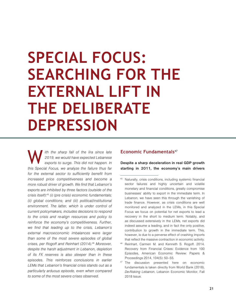## <span id="page-42-0"></span>**SPECIAL FOCUS: SEARCHING FOR THE EXTERNAL LIFT IN THE DELIBERATE DEPRESSION**

W *ith the sharp fall of the lira since late 2019, we would have expected Lebanese exports to surge. This did not happen. In this Special Focus, we analyze the failure thus far for the external sector to sufficiently benefit from increased price competitiveness and become a more robust driver of growth. We find that Lebanon's exports are inhibited by three factors (outside of the crisis itself):*<sup>45</sup> *(i) (pre crisis) economic fundamentals; (ii) global conditions; and (iii) political/institutional environment. The latter, which is under control of current policymakers, includes decisions to respond to the crisis and re-align resources and policy to reinforce the economy's competitiveness. Further, we find that leading up to the crisis, Lebanon's external macroeconomic imbalances were larger than some of the most severe episodes of global crises, per Rogoff and Reinhart (2014).*<sup>46</sup> *Moreover, despite the harsh adjustment in Lebanon, depletion of its FX reserves is also steeper than in these episodes. This reinforces conclusions in earlier LEMs that Lebanon's financial crisis stands out as a particularly arduous episode, even when compared to some of the most severe crises observed.*

## **Economic Fundamentals**<sup>47</sup>

**Despite a sharp deceleration in real GDP growth starting in 2011, the economy's main drivers** 

<sup>45</sup> Naturally, crisis conditions, including systemic financial sector failures and highly uncertain and volatile monetary and financial conditions, greatly compromise businesses' ability to export in the immediate term. In Lebanon, we have seen this through the vanishing of trade finance. However, as crisis conditions are well monitored and analyzed in the LEMs, in this Special Focus we focus on potential for net exports to lead a recovery in the short to medium term. Notably, and as discussed extensively in the LEMs, net exports did indeed assume a leading, and in fact the only positive, contribution to growth in the immediate term. This, however, is due to a perverse effect of crashing imports that reflect the massive contraction in economic activity.

Reinhart, Carmen M. and Kenneth S. Rogoff. 2014. Recovery from Financial Crises: Evidence from 100 Episodes, American Economic Review: Papers & Proceedings 2014, 104(5): 50–55.

<sup>&</sup>lt;sup>47</sup> The discussion presented here on economic fundamentals is taken directly from World Bank (2018), *De-Risking Lebanon*, Lebanon Economic Monitor, Fall 2018 Issue.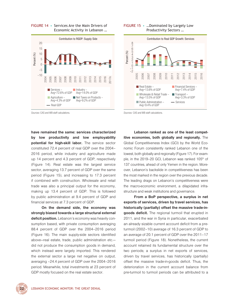<span id="page-43-0"></span>FIGuRE 14 • Services Are the Main Drivers of Economic Activity in Lebanon …



FIGuRE 15 • …Dominated by Largely Low Productivity Sectors …



*Sources:* CAS and WB staff calculations.

**have remained the same: services characterized by low productivity and low employability potential for high-skill labor.** The service sector constituted 72.4 percent of real GDP over the 2004– 2016 period, while industry and agriculture made up 14 percent and 4.3 percent of GDP, respectively (Figure 14). Real estate was the largest service sector, averaging 13.7 percent of GDP over the same period (Figure 15), and increasing to 17.3 percent if combined with construction. Wholesale and retail trade was also a principal output for the economy, making up 13.4 percent of GDP. This is followed by public administration at 9.4 percent of GDP and financial services at 7.3 percent of GDP.

**On the demand side, the economy was strongly biased towards a large structural external deficit position.** Lebanon's economy was heavily consumption based, with private consumption averaging 88.4 percent of GDP over the 2004–2016 period (Figure 16). The main supply-side sectors identified above—real estate, trade, public administration etc. did not produce the consumption goods in demand, which instead were largely imported. This rendered the external sector a large net negative on output, averaging –24.4 percent of GDP over the 2004–2016 period. Meanwhile, total investments at 23 percent of GDP mostly focused on the real estate sector.

*Sources:* CAS and WB staff calculations.

**Lebanon ranked as one of the least competitive economies, both globally and regionally.** The Global Competitiveness Index (GCI) by the World Economic Forum consistently ranked Lebanon one of the lowest, both globally and regionally (Figure 17). For example, in the 2019-20 GCI, Lebanon was ranked 105<sup>th</sup> of 137 countries, ahead of only Yemen in the region. Moreover, Lebanon's backslide in competitiveness has been the most marked in the region over the previous decade. The leading drags on Lebanon's competitiveness were the macro-economic environment, a dilapidated infrastructure and weak institutions and governance.

**From a BoP perspective, a surplus in net exports of services, driven by travel services, has historically (partially) offset the massive trade-ingoods deficit.** The regional turmoil that erupted in 2011, and the war in Syria in particular, exacerbated an already sizable current account deficit from a preturmoil (2002–10) average of 16.3 percent of GDP to an average of 20.1 percent of GDP over the 2011–17 turmoil period (Figure 18). Nonetheless, the current account retained its fundamental structure over the two periods; a surplus in net exports of services, driven by travel services, has historically (partially) offset the massive trade-in-goods deficit. Thus, the deterioration in the current account balance from pre-turmoil to turmoil periods can be attributed to a

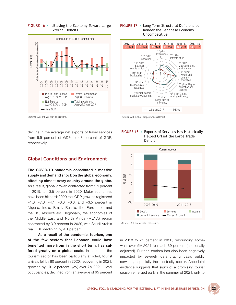

## <span id="page-44-0"></span>FIGuRE 16 • …Biasing the Economy Toward Large External Deficits





*Sources:* CAS and WB staff calculations.

decline in the average net exports of travel services from 9.9 percent of GDP to 4.8 percent of GDP, respectively.

## **Global Conditions and Environment**

**The COVID-19 pandemic constituted a massive supply and demand shock on the global economy, affecting almost every country around the globe.** As a result, global growth contracted from 2.9 percent in 2019, to –3.5 percent in 2020. Major economies have been hit hard; 2020 real GDP growths registered –1.8, –7.3, –4.1, –3.0, –6.6, and –3.5 percent in Nigeria, India, Brazil, Russia, the Euro area and the US, respectively. Regionally, the economies of the Middle East and North Africa (MENA) region contracted by 3.9 percent in 2020, with Saudi Arabia real GDP declining by 4.1 percent.

**As a result of the pandemic, tourism, one of the few sectors that Lebanon could have benefited more from in the short term, has suffered greatly on a global scale.** In Lebanon, the tourism sector has been particularly afflicted; tourist arrivals fell by 80 percent in 2020; recovering in 2021, growing by 101.2 percent (yoy) over 7M-2021. Hotel occupancies, declined from an average of 65 percent





*Sources:* BdL and WB staff calculations.

in 2018 to 21 percent in 2020, rebounding somewhat over 5M-2021 to reach 39 percent (seasonally adjusted). Further, tourism has also been negatively impacted by severely deteriorating basic public services, especially the electricity sector. Anecdotal evidence suggests that signs of a promising tourist season emerged early in the summer of 2021, only to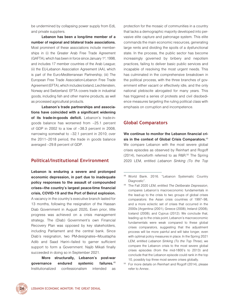<span id="page-45-0"></span>be undermined by collapsing power supply from EdL and private suppliers.

**Lebanon has been a long-time member of a number of regional and bilateral trade associations.**  Most prominent of these associations include memberships in (i) the Greater Arab Free Trade Agreement  $(GAFTA)$ , which has been in force since January 1<sup>st</sup>, 1998, and includes 17 member countries of the Arab League; (ii) the EU-Lebanon Association Agreement (AA), which is part of the Euro-Mediterranean Partnership; (iii) The European Free Trade Association-Lebanon Free Trade Agreement (EFTA), which includes Iceland, Liechtenstein, Norway and Switzerland. EFTA covers trade in industrial goods, including fish and other marine products, as well as processed agricultural products.

**Lebanon's trade partnerships and associations have coincided with a significant widening of its trade-in-goods deficit.** Lebanon's trade-ingoods balance has worsened from –25.1 percent of GDP in 2002 to a low of –38.3 percent in 2008, narrowing somewhat to –32.1 percent in 2010; over the 2011–2018 period, the trade in goods balance averaged –29.8 percent of GDP.

## **Political/Institutional Environment**

**Lebanon is enduring a severe and prolonged economic depression, in part due to inadequate policy responses to the assault of compounded crises—the country's largest peace-time financial crisis, COVID-19 and the Port of Beirut explosion.** A vacancy in the country's executive branch lasted for 13 months, following the resignation of the Hassan Diab Government in August 2020**.** Even prior, little progress was achieved on a crisis management strategy. The (Diab) Government's own Financial Recovery Plan was opposed by key stakeholders, including Parliament and the central bank. Since Diab's resignation, two PM-designates—Moustapha Adib and Saad Hariri—failed to garner sufficient support to form a Government. Najib Mikati finally succeeded in doing so in September 2021.

**More structurally, Lebanon's post-war governance endured systemic failures.**<sup>48</sup> Institutionalized confessionalism intended as

protection for the mosaic of communities in a country that lacks a demographic majority developed into pervasive elite capture and patronage system. This elite commands the main economic resources, generating large rents and dividing the spoils of a dysfunctional state. In the process, the public sector has become increasingly governed by bribery and nepotism practices, failing to deliver basic public services and incapable of resolving the most urgent needs. This has culminated in the comprehensive breakdown in the political process, with the three branches of government either vacant or effectively idle, and the only national plebiscite abrogated for many years. This has triggered a series of protests and civil disobedience measures targeting the ruling political class with emphasis on corruption and incompetence.

## **Global Comparators**

**We continue to monitor the Lebanon financial crisis in the context of Global Crisis Comparators.**<sup>49</sup> We compare Lebanon with the most severe global crises episodes as observed by Reinhart and Rogoff (2014), henceforth referred to as R&R.<sup>50</sup> The Spring 2020 LEM, entitled *Lebanon Sinking (To the Top* 



<sup>48</sup> World Bank. 2016. "Lebanon Systematic Country [Diagnostic".](http://documents1.worldbank.org/curated/en/951911467995104328/pdf/103201-REPLACEMNT-PUBLIC-Lebanon-SCD-Le-Borgne-and-Jacobs-2016.pdf)

<sup>49</sup>The Fall 2020 LEM, entitled *The Deliberate Depression*, compares Lebanon's macroeconomic fundamentals in the lead-up to the crisis to two groups of global crises comparators: the Asian crisis countries of 1997–98, and a more eclectic set of crises that occurred in the 2000s [Argentina (2001), Greece (2008), Ireland (2008), Iceland (2008), and Cyprus (2012). We conclude that, leading up to the crisis point, Lebanon's macroeconomic fundamentals were weak compared to these global crises comparators, suggesting that the adjustment process will be more painful and will take longer, even with optimal policy measures in place. In the Spring 2021 LEM, entitled *Lebanon Sinking (To the Top Three)*, we compare the Lebanon crisis to the most severe global crises episodes (from the mid-1800's to 2013) and conclude that the Lebanon episode could rank in the top 10, possibly top three most severe crises globally.

 $50$  For more details on Reinhart and Rogoff (2014), please refer to Annex .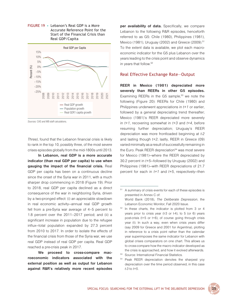<span id="page-46-0"></span>



*Sources:* CAS and WB staff calculations.

*Three)*, found that the Lebanon financial crisis is likely to rank in the top 10, possibly three, of the most severe crises episodes globally from the mid-1800s until 2013.

**In Lebanon, real GDP is a more accurate indicator (than real GDP per capita) to use when gauging the impact of the financial crisis.** Real GDP per capita has been on a continuous decline since the onset of the Syria war in 2011, with a much sharper drop commencing in 2018 (Figure 19). Prior to 2018, real GDP per capita declined as a direct consequence of the war in neighboring Syria, driven by a two-pronged effect: (i) an appreciable slowdown in real economic activity—annual real GDP growth fell from a pre-Syria war average of 4–5 percent to 1.8 percent over the 2011–2017 period; and (ii) a significant increase in population due to the refugee influx—total population expanded by 27.3 percent from 2010 to 2017. In order to isolate the effects of the financial crisis from those of the Syria war, we use real GDP instead of real GDP per capita. Real GDP reached a pre-crisis peak in 2017.

**We proceed to cross-compare macroeconomic indicators associated with the external position as well as output for Lebanon against R&R's relatively more recent episodes**  **per availability of data.** Specifically, we compare Lebanon to the following R&R episodes, henceforth referred to as G5: Chile (1980), Philippines (1981), Mexico (1981), Uruguay (2002) and Greece (2009).<sup>51</sup> To the extent data is available, we plot each macroeconomic indicator for the G5 plus Lebanon over the years leading to the crisis point and observe dynamics in years that follow.<sup>52</sup>

#### Real Effective Exchange Rate—Output

**REER in Mexico (1981) depreciated more severely than REERs in other G5 episodes.**  Examining REERs in the G5 sample, $53$  we note the following (Figure 20): REERs for Chile (1980) and Philippines underwent appreciations in *t+1* or earlier, followed by a general depreciating trend thereafter; Mexico (1981)'s REER depreciated more severely in *t+1*, recovering somewhat in *t+3* and *t+4*, before resuming further depreciation; Uruguay's REER depreciation was more frontloaded beginning at *t-2* and lasting though *t+2*; lastly, REER in Greece (09) varied minimally as a result of successfully remaining in the Euro. Peak REER depreciation<sup>54</sup> was most severe for Mexico (1981)—where the REER depreciated by 30.2 percent in *t+5*—followed by Uruguay (2002) and Philippines (1981)—with REER depreciations of 21.7 percent for each in *t+1* and *t+5*, respectively—then

- 53 Source: International Financial Statistics.
- <sup>54</sup> Peak REER depreciation denotes the sharpest yoy depreciation over the time period observed, in this case *t-3* to *t+5*.

<sup>&</sup>lt;sup>51</sup> A summary of crisis events for each of these episodes is presented in Annex C of: World Bank (2018), *The Deliberate Depression*, the Lebanon Economic Monitor, Fall 2020 Issue.

 $52$  In these charts, the indicator is plotted from 3 or 4 years prior to crisis year (t-3 or t-4), to 5 (or 6) years post-crisis (t+5 or t+6), of course going through crisis year (t). In such a way, even when crisis years differ (say 2009 for Greece and 2001 for Argentina), plotting in reference to a crisis point rather than the calendar year superimposes the same indicator for Lebanon with global crises comparators on one chart. This allows us to cross-compare how the macro indicator developed as the crisis is approached, and how it evolved afterwards.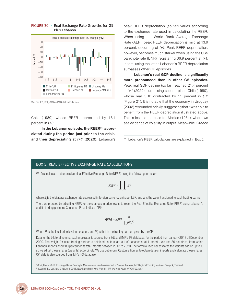

<span id="page-47-0"></span>FIGuRE 20 • Real Exchange Rate Growths for G5 Plus Lebanon

*Sources:* IFS, BdL, CAS and WB staff calculations.

Chile (1980), whose REER depreciated by 18.1 percent in *t+3*.

**In the Lebanon episode, the REER**5[5](#page-47-1) **appreciated during the period just prior to the crisis, and then depreciating at** *t+1* **(2020).** Lebanon's

peak REER depreciation (so far) varies according to the exchange rate used in calculating the REER. When using the World Bank Average Exchange Rate (AER), peak REER depreciation is mild at 13.9 percent, occurring at *t+1*. Peak REER depreciation, however, becomes much starker when using the US\$ banknote rate (BNR), registering 36.9 percent at *t+1*. In fact, using the latter, Lebanon's REER depreciation surpasses other G5 episodes.

**Lebanon's real GDP decline is significantly more pronounced than in other G5 episodes.** Peak real GDP decline (so far) reached 21.4 percent in *t+1* (2020), surpassing second place Chile (1980), whose real GDP contracted by 11 percent in *t+*2 (Figure 21). It is notable that the economy in Uruguay (2002) rebounded briskly, suggesting that it was able to benefit from the REER depreciation illustrated above. This is less so the case for Mexico (1981), where we see evidence of volatility in output. Meanwhile, Greece

## BOX 5. REAL EFFECTIVE EXCHANGE RATE CALCULATIONS

We first calculate Lebanon's Nominal Effective Exchange Rate (NEER) using the following formula:<sup>a</sup>

$$
NEER = \prod_{i} E_i^{w_i}
$$

where *E* is the bilateral exchange rate expressed in foreign currency units per LBP, and w is the weight assigned to each trading partner.

Then, we proceed by adjusting NEER for the changes in price levels, to reach the Real Effective Exchange Rate (REER) using Lebanon's and its trading partners' Consumer Price Indices (CPI)<sup>b</sup>

$$
REER = NEER \frac{P}{\prod_i (P_i^*)^{w_i}}
$$

Where  $P$  is the local price level in Lebanon, and  $P_i^\ast$  is that in the trading partner, given by the CPI.

Data for the bilateral nominal exchange rates is sourced from BdL and IMF's IFS database, for the period from January 2013 till December 2020. The weight for each trading partner is obtained as its share out of Lebanon's total imports. We use 30 countries, from which Lebanon imports about 80 percent of its total imports between 2013 to 2020. The formula used necessitates the weights adding up to 1, so we adjust these shares (weights) accordingly. We use Lebanon's Customs' figures to obtain data on imports and calculate those shares. CPI data is also sourced from IMF's IFS database.

a Govil, Rajan. 2014. Exchange Rates: Concepts, Measurements and Assessment of Competitiveness, IMF Regional Training Institute: Bangkok, Thailand. b Bayoumi, T, J Lee. and S Jayanthi. 2005. New Rates From New Weights, IMF Working Paper WP/05/99, May.



<span id="page-47-1"></span><sup>55</sup> Lebanon's REER calculations are explained in Box 5.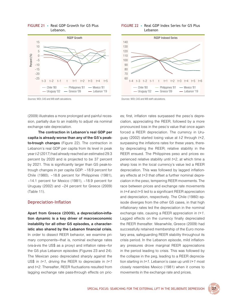

<span id="page-48-0"></span>FIGuRE 21 • Real GDP Growth for G5 Plus Lebanon.

*Sources:* WDI, CAS and WB staff calculations.

(2009) illustrates a more prolonged and painful recession, partially due to an inability to adjust via nominal exchange rate depreciation.

**The contraction in Lebanon's real GDP per capita is already worse than any of the G5's peakto-trough changes** (Figure 22). The contraction in Lebanon's real GDP per capita from its level in peak year *t-2* (2017) had already reached an estimated 29.3 percent by 2020 and is projected to be 37 percent by 2021. This is significantly larger than G5 peak-totrough changes in per capita GDP: –18.9 percent for Chile (1980), –18.8 percent for Philippines (1981), –14.1 percent for Mexico (1981), –18.9 percent for Uruguay (2002) and –24 percent for Greece (2009) (Table 11).

### Depreciation-Inflation

**Apart from Greece (2009), a depreciation-inflation dynamic is a key driver of macroeconomic instability for all other G5 episodes, a characteristic also shared by the Lebanon financial crisis.** In order to dissect REER behavior, we examine primary components—that is, nominal exchange rates (vis-à-vis the US\$ as a proxy) and inflation rates—for the G5 plus Lebanon episodes (Figures 23 and 24). The Mexican peso depreciated sharply against the US\$ in *t+1*, driving the REER to depreciate in *t+1* and *t+2*. Thereafter, REER fluctuations resulted from lagging exchange rate pass-through effects on pric-





*Sources:* WDI, CAS and WB staff calculations.

es; first, inflation rates surpassed the peso's depreciation, appreciating the REER, followed by a more pronounced loss in the peso's value that once again forced a REER depreciation. The currency in Uruguay (2002) started losing value at *t-2* through *t+2*, surpassing the inflations rates for these years, thereby depreciating the REER; relative stability in the REER ensued. The Philippines peso and prices experienced relative stability until *t+2*, at which time a sharp loss in the local currency's value led a REER depreciation. This was followed by lagged inflationary effects at *t+3* that offset a further nominal depreciation in the peso, tempering REER movements. The race between prices and exchange rate movements in *t+4* and *t+5* led to a significant REER appreciation and depreciation, respectively. The Chile (1980) episode diverges from the other G5 cases, in that high inflationary rates led the depreciation in the nominal exchange rate, causing a REER appreciation in *t+1*. Lagged effects on the currency finally depreciated the REER thereafter. Meanwhile, Greece (2009) had successfully retained membership of the Euro monetary area, safeguarding REER stability throughout its crisis period. In the Lebanon episode, mild inflationary pressures drove marginal REER appreciations in the period leading to crisis. This was followed by the collapse in the peg, leading to a REER depreciation starting in *t+1*. Lebanon's case up until *t+1* most closely resembles Mexico (1981) when it comes to movements in the exchange rate and prices.

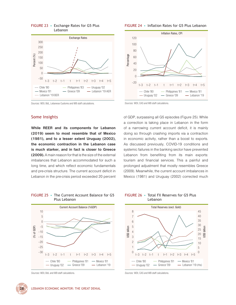

#### <span id="page-49-0"></span>FIGuRE 23 • Exchange Rates for G5 Plus Lebanon

#### *Sources:* WDI, BdL, Lebanese Customs and WB staff calculations.

## Some Insights

**While REER and its components for Lebanon (2019) seem to most resemble that of Mexico (1981), and to a lesser extent Uruguay (2002), the economic contraction in the Lebanon case is much starker, and in fact is closer to Greece (2009).** A main reason for that is the size of the external imbalances that Lebanon accommodated for such a long time, and which reflect economic fundamentals and pre-crisis structure. The current account deficit in Lebanon in the pre-crisis period exceeded 20 percent

### FIGuRE 24 • Inflation Rates for G5 Plus lebanon



*Sources:* WDI, CAS and WB staff calculations.

of GDP, surpassing all G5 episodes (Figure 25). While a correction is taking place in Lebanon in the form of a narrowing current account deficit, it is mainly doing so through crashing imports via a contraction in economic activity, rather than a boost to exports. As discussed previously, COVID-19 conditions and systemic failures in the banking sector have prevented Lebanon from benefiting from its main exports: tourism and financial services. This a painful and prolonged adjustment that mostly resembles Greece (2009). Meanwhile, the current account imbalances in Mexico (1981) and Uruguay (2002) corrected much

## FIGuRE 25 • The Current Account Balance for G5 Plus Lebanon



*Sources:* WDI, BdL and WB staff calculations.



### FIGuRE 26 • Total Fx Reserves for G5 Plus Lebanon



*Sources:* WDI, CAS and WB staff calculations.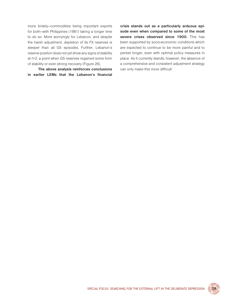more briskly—commodities being important exports for both—with Philippines (1981) taking a longer time to do so. More worryingly for Lebanon, and despite the harsh adjustment, depletion of its FX reserves is steeper than all G5 episodes. Further, Lebanon's reserve position does not yet show any signs of stability at *t+2*, a point when G5 reserves regained some form of stability or even strong recovery (Figure 26).

**The above analysis reinforces conclusions in earlier LEMs that the Lebanon's financial**  **crisis stands out as a particularly arduous episode even when compared to some of the most severe crises observed since 1900.** This has been supported by socio-economic conditions which are expected to continue to be more painful and to persist longer, even with optimal policy measures in place. As it currently stands, however, the absence of a comprehensive and consistent adjustment strategy can only make this more difficult.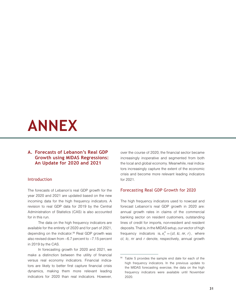## <span id="page-52-0"></span>**ANNEX**

## **A. Forecasts of Lebanon's Real GDP Growth using MIDAS Regressions: An Update for 2020 and 2021**

### Introduction

The forecasts of Lebanon's real GDP growth for the year 2020 and 2021 are updated based on the new incoming data for the high frequency indicators. A revision to real GDP data for 2019 by the Central Administration of Statistics (CAS) is also accounted for in this run.

The data on the high frequency indicators are available for the entirety of 2020 and for part of 2021, depending on the indicator.<sup>56</sup> Real GDP growth was also revised down from –6.7 percent to –7.15 percent in 2019 by the CAS.

In forecasting growth for 2020 and 2021, we make a distinction between the utility of financial versus real economy indicators. Financial indicators are likely to better first capture financial crisis dynamics, making them more relevant leading indicators for 2020 than real indicators. However, over the course of 2020, the financial sector became increasingly inoperative and segmented from both the local and global economy. Meanwhile, real indicators increasingly capture the extent of the economic crisis and become more relevant leading indicators for 2021.

## Forecasting Real GDP Growth for 2020

The high frequency indicators used to nowcast and forecast Lebanon's real GDP growth in 2020 are: annual growth rates in claims of the commercial banking sector on resident customers, outstanding lines of credit for imports, non-resident and resident deposits. That is, in the MIDAS setup, our vector of high frequency indicators is,  $x_t^H = (c l, lc, nr, r)$ , where *cl*, *lc*, *nr* and *r* denote, respectively, annual growth

<sup>&</sup>lt;sup>56</sup> Table 5 provides the sample end date for each of the high frequency indicators. In the previous update to the MIDAS forecasting exercise, the data on the high frequency indicators were available until November 2020.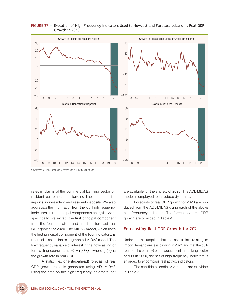

### <span id="page-53-0"></span>FIGURE 27 • Evolution of High Frequency Indicators Used to Nowcast and Forecast Lebanon's Real GDP Growth in 2020

*Sources:* WDI, BdL, Lebanese Customs and WB staff calculations.

rates in claims of the commercial banking sector on resident customers, outstanding lines of credit for imports, non-resident and resident deposits. We also aggregate the information from the four high frequency indicators using principal components analysis. More specifically, we extract the first principal component from the four indicators and use it to forecast real GDP growth for 2020. The MIDAS model, which uses the first principal component of the four indicators, is referred to as the factor augmented MIDAS model. The low frequency variable of interest in the nowcasting or forecasting exercises is  $y_t^L = (gdpg)$  where  $gdpg$  is the growth rate in real GDP.

A static (i.e., one-step-ahead) forecast of real GDP growth rates is generated using ADL-MIDAS using the data on the high frequency indicators that are available for the entirety of 2020. The ADL-MIDAS model is employed to introduce dynamics.

Forecasts of real GDP growth for 2020 are produced from the ADL-MIDAS using each of the above high frequency indicators. The forecasts of real GDP growth are provided in Table 4.

## Forecasting Real GDP Growth for 2021

Under the assumption that the constraints relating to import demand are less binding in 2021 and that the bulk (but not the entirety) of the adjustment in banking sector occurs in 2020, the set of high frequency indicators is enlarged to encompass real activity indicators.

The candidate predictor variables are provided in Table 5.

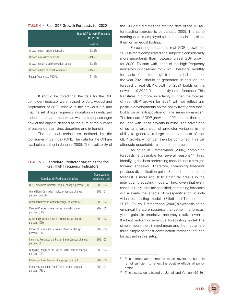#### <span id="page-54-0"></span>TABLE 4 • Real GDP Growth Forecasts for 2020

|                                         | <b>Real GDP Growth Forecasts</b><br>for 2020 |
|-----------------------------------------|----------------------------------------------|
|                                         | <b>Baseline</b>                              |
| Growth in non-resident deposits         | $-13.3%$                                     |
| Growth in resident deposits             | $-13.5%$                                     |
| Growth in claims on the resident sector | $-13.8%$                                     |
| Growth in lines of credit for imports   | $-15.5%$                                     |
| <b>Factor Augmented MIDAS</b>           | $-214%$                                      |

It should be noted that the data for the BdL coincident indicator were revised for July, August and September of 2020 relative to the previous run and that the set of high frequency indicators was enlarged to include cleared checks as well as total passenger flow at the airport (defined as the sum of the number of passengers arriving, departing and in transit).

The nominal series are deflated by the Consumer Price Index (CPI). The data for the CPI are available starting in January 2008. The availability of

### TABLE 5 • Candidate Predictor variables for the Real High Frequency Indicators

| CandidateÒ Predictor Variables                                          | <b>Observations</b><br><b>Available Until</b> |
|-------------------------------------------------------------------------|-----------------------------------------------|
| BDL Coincident Indicator (annual change, percent) (CI)                  | 2021:03                                       |
| World Bank Coincident Indicator (annual change,<br>percent) (WBCI)      | 2021:01                                       |
| Cement Deliveries (annual change, percent) (CD)                         | 2021:03                                       |
| Cleared Checks in Real Terms (annual change,<br>percent) (CC)           | 2021:03                                       |
| Customs Receipts in Real Terms (annual change,<br>percent) (CR)         | 2021:03                                       |
| Import of Petroleum Derivatives (annual change,<br>percent) (PI)        | 2021:03                                       |
| Incoming Freight at the Port of Beirut (annual change,<br>percent) (IF) | 2021:03                                       |
| Outgoing Freight at the Port of Beirut (annual change,<br>percent) (OF) | 2021:03                                       |
| Passenger Flow (annual change, percent) (PF)                            | 2021:03                                       |
| Primary Spending in Real Terms (annual change,<br>percent) (PRIM)       | 2021:01                                       |

the CPI data dictates the starting date of the MIDAS forecasting exercise to be January 2009. The same starting date is employed for all the models to place them on an equal footing.

Forecasting Lebanon's real GDP growth for 2021 is more complicated and subject to considerably more uncertainty than nowcasting real GDP growth for 2020. To start with, none of the high frequency indicators is observed for 2021. Therefore, monthly forecasts of the four high frequency indicators for the year 2021 should be generated. In addition, the forecast of real GDP growth for 2021 builds on the nowcast of 2020 (i.e., it is a dynamic forecast). This translates into more uncertainty. Further, the forecast of real GDP growth for 2021 will not reflect any positive developments on the policy front given that it builds on an extrapolation of time series dynamics.<sup>57</sup> The forecast of GDP growth for 2021 should therefore be used with these caveats in mind. The advantage of using a large pool of predictor variables is the ability to generate a large set of forecasts of real GDP growth, which can then be combined. This will attenuate uncertainty related to the forecast.

As noted in Timmermann (2006), combining forecastsis desirable for several reasons.<sup>58</sup> First, identifying the best performing model is not a straightforward endeavor. Therefore, combining forecasts provides diversification gains. Second, the combined forecast is more robust to structural breaks in the individual forecasting models. Third, given that every model is likely to be misspecified, combining forecasts will alleviate the effects of misspecification in individual forecasting models (Elliott and Timmermann 2016). Fourth, Timmermann (2006)'s synthesis of the empirical literature suggests that combining forecast yields gains in predictive accuracy relative even to the best performing individual forecasting model. The simple mean, the trimmed mean and the median are three simple forecast combination methods that can be applied in this setup.

<span id="page-54-1"></span><sup>&</sup>lt;sup>58</sup> This discussion is based on Jamali and Yamani (2019).



This extrapolation embeds mean reversion, but this is not sufficient to reflect the positive effects of policy action.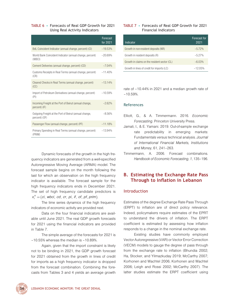### <span id="page-55-0"></span>TABLE 6 • Forecasts of Real GDP Growth for 2021 Using Real Activity Indicators

|                                                                         | Forecast<br>for 2021 |
|-------------------------------------------------------------------------|----------------------|
| BdL Coincident Indicator (annual change, percent) (CI)                  | $-19.53%$            |
| World Bank Coincident Indicator (annual change, percent)<br>(WBCI)      | $-20.69%$            |
| Cement Deliveries (annual change, percent) (CD)                         | $-704%$              |
| Customs Receipts in Real Terms (annual change, percent)<br>(CR)         | $-11.40%$            |
| Cleared Checks in Real Terms (annual change, percent)<br>(CC)           | $-13.14%$            |
| Import of Petroleum Derivatives (annual change, percent)<br>(PI)        | $-10.59%$            |
| Incoming Freight at the Port of Beirut (annual change,<br>percent) (IF) | $-2.62%$             |
| Outgoing Freight at the Port of Beirut (annual change,<br>percent) (OF) | $-8.56%$             |
| Passenger Flow (annual change, percent) (PF)                            | $-11.18%$            |
| Primary Spending in Real Terms (annual change, percent)<br>(PRIM)       | $-13.94%$            |

Dynamic forecasts of the growth in the high frequency indicators are generated from a well-specified Autoregressive Moving Average (ARMA) model. The forecast sample begins on the month following the last for which an observation on the high frequency indicator is available. The forecast sample for the high frequency indicators ends in December 2021. The set of high frequency candidate predictors is  $x_t^H = (ci, wbci, cd, cr, pi, if, of, pf, prim).$ 

The time series dynamics of the high frequency indicators of economic activity are provided next.

Data on the four financial indicators are available until June 2021. The real GDP growth forecasts for 2021 using the financial indicators are provided in Table 7.

The simple average of the forecasts for 2021 is –10.55% whereas the median is –10.89%.

Again, given that the import constraint is likely not to be binding in 2021, the GDP growth forecast for 2021 obtained from the growth in lines of credit for imports as a high frequency indicator is dropped from the forecast combination. Combining the forecasts from Tables 3 and 4 yields an average growth

## TABLE 7 • Forecasts of Real GDP Growth for 2021 Financial Indicators

| Indicator                                    | Forecast for<br>2021 |
|----------------------------------------------|----------------------|
| Growth in non-resident deposits (NR)         | $-5.72%$             |
| Growth in resident deposits (R)              | $-5.27%$             |
| Growth in claims on the resident sector (CL) | $-6.03%$             |
| Growth in lines of credit for imports (LC)   | -1205%               |

rate of –10.44% in 2021 and a median growth rate of –10.59%.

## References

- Elliott, G., & A. Timmermann. 2016. *Economic Forecasting*. Princeton University Press.
- Jamali, I., & E. Yamani. 2019. Out-of-sample exchange rate predictability in emerging markets: Fundamentals versus technical analysis. *Journal of International Financial Markets, Institutions and Money*, 61, 241–263.
- Timmermann, A. 2006. Forecast combinations. *Handbook of Economic Forecasting*, *1*, 135–196.

## **B. Estimating the Exchange Rate Pass Through to Inflation in Lebanon**

## Introduction

Estimates of the degree Exchange Rate Pass Through (ERPT) to inflation are of direct policy relevance. Indeed, policymakers require estimates of the EPRT to understand the drivers of inflation. The ERPT coefficient is estimated by assessing how inflation responds to a change in the nominal exchange rate.

Existing studies have commonly employed Vector Autoregressive (VAR) or Vector Error Correction (VECM) models to gauge the degree of pass through from the exchange rate to inflation (Bhundia 2002; Ha, Stocker, and Yilmazkuday 2019; McCarthy 2007; Korhonen and Wachtel 2006; Korhonen and Wachtel 2006; Leigh and Rossi 2002; McCarthy 2007). The latter studies estimate the ERPT coefficient using

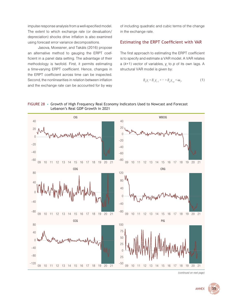<span id="page-56-0"></span>impulse response analysis from a well-specified model. The extent to which exchange rate (or devaluation/ depreciation) shocks drive inflation is also examined using forecast error variance decompositions.

Jasova, Moessner, and Takáts (2016) propose an alternative method to gauging the ERPT coefficient in a panel data setting. The advantage of their methodology is twofold. First, it permits estimating a time-varying ERPT coefficient. Hence, changes in the ERPT coefficient across time can be inspected. Second, the nonlinearities in relation between inflation and the exchange rate can be accounted for by way of including quadratic and cubic terms of the change in the exchange rate.

## Estimating the ERPt Coefficient with VaR

The first approach to estimating the ERPT coefficient is to specify and estimate a VAR model. A VAR relates a (k×1) vector of variables,  $y_t$  to  $p$  of its own lags. A structural VAR model is given by:

$$
B_0 Y_t = B_1 Y_{t-1} + \dots + B_p Y_{t-p} + \omega_t, \tag{1}
$$

### FIGURE 28 • Growth of High Frequency Real Economy Indicators Used to Nowcast and Forecast Lebanon's Real GDP Growth in 2021



*(continued on next page)*

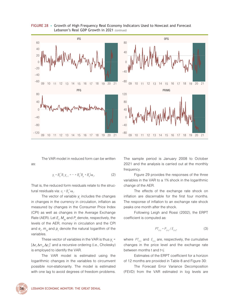

FIGURE 28 • Growth of High Frequency Real Economy Indicators Used to Nowcast and Forecast Lebanon's Real GDP Growth in 2021 *(continued)*

The VAR model in reduced form can be written

$$
y_{t} = B_0^{-1} B_1 y_{t-1} + \dots + B_0^{-1} B_p + B_0^{-1} \omega_t, \qquad (2)
$$

That is, the reduced form residuals relate to the structural residuals via:  $u_t = B_0^{-1} \omega_t$ .

The vector of variable  $y_t$  includes the changes in changes in the currency in circulation, inflation as measured by changes in the Consumer Price Index (CPI) as well as changes in the Average Exchange Rate (AER). Let  $E_{t}$ ,  $M_{0t}$  and  $P_{t}$  denote, respectively, the levels of the AER, money in circulation and the CPI and  $e_t$ ,  $m_{0t}$  and  $p_t$  denote the natural logarithm of the variables.

These vector of variables in the VAR is thus  $y_t =$ [Δ*e t ,*Δ*m0t ,*Δ*p t* ]' and a recursive ordering (i.e., Cholesky) is employed to identify the VAR.

The VAR model is estimated using the logarithmic changes in the variables to circumvent possible non-stationarity. The model is estimated with one lag to avoid degrees of freedom problems. The sample period is January 2008 to October 2021 and the analysis is carried out at the monthly frequency.

Figure 29 provides the responses of the three variables in the VAR to a 1% shock in the logarithmic change of the AER.

The effects of the exchange rate shock on inflation are discernable for the first four months. The response of inflation to an exchange rate shock peaks one month after the shock.

Following Leigh and Rossi (2002), the ERPT coefficient is computed as:

$$
PT_{t^{t+j}} = P_{t^{t+j}} / E_{t^{t+j}},\tag{3}
$$

where  $PT_{t^{t+j}}$  and  $E_{t^{t+j}}$  are, respectively, the cumulative changes in the price level and the exchange rate between months t and t+*j*.

Estimates of the ERPT coefficient for a horizon of 12 months are provided in Table 8 and Figure 30:

The Forecast Error Variance Decomposition (FEVD) from the VAR estimated in log levels are



as: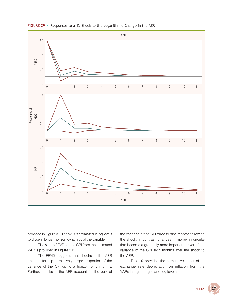

<span id="page-58-0"></span>FIGuRE 29 • Responses to a 1% Shock to the Logarithmic Change in the AER

provided in Figure 31. The VAR is estimated in log levels to discern longer horizon dynamics of the variable.

The *h*-step FEVD for the CPI from the estimated VAR is provided in Figure 31:

The FEVD suggests that shocks to the AER account for a progressively larger proportion of the variance of the CPI up to a horizon of 6 months. Further, shocks to the AER account for the bulk of the variance of the CPI three to nine months following the shock. In contrast, changes in money in circulation become a gradually more important driver of the variance of the CPI sixth months after the shock to the AER.

Table 9 provides the cumulative effect of an exchange rate depreciation on inflation from the VARs in log changes and log levels:

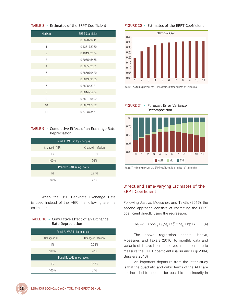### <span id="page-59-0"></span>TABLE 8 • Estimates of the ERPT Coefficient

| <b>Horizon</b> | <b>ERPT Coefficient</b> |
|----------------|-------------------------|
| $\overline{0}$ | 0.367879441             |
| 1              | 0.437178369             |
| $\overline{2}$ | 0.401352574             |
| 3              | 0.397545455             |
| $\overline{4}$ | 0.390552061             |
| 5              | 0.386970429             |
| 6              | 0.384339885             |
| $\overline{7}$ | 0.382643321             |
| 8              | 0.381495204             |
| 9              | 0.380730692             |
| 10             | 0.380217432             |
| 11             | 0.379873871             |

#### TABLE 9 • Cumulative Effect of an Exchange Rate Depreciation

| Panel A: VAR in log changes |                     |  |  |
|-----------------------------|---------------------|--|--|
| Change in AER               | Change in Inflation |  |  |
| $1\%$<br>0.56%              |                     |  |  |
| 100%                        | 56%                 |  |  |
| Panel B: VAR in log levels  |                     |  |  |
| $1\%$                       | 0.77%               |  |  |
| 1 በበ‰                       | 77 <sub>%</sub>     |  |  |

When the US\$ Banknote Exchange Rate is used instead of the AER, the following are the estimates:

### TABLE 10 • Cumulative Effect of an Exchange Rate Depreciation

| Panel A: VAR in log changes |                     |  |  |
|-----------------------------|---------------------|--|--|
| Change in AER               | Change in Inflation |  |  |
| $1\%$<br>0.28%              |                     |  |  |
| 100%                        | 28%                 |  |  |
| Panel B: VAR in log levels  |                     |  |  |
| $1\%$                       | 0.67%               |  |  |
| 67%<br>100%                 |                     |  |  |

#### FIGuRE 30 • Estimates of the ERPt Coefficient



*Notes*: This figure provides the ERPT coefficient for a horizon of 12 months.





*Notes*: This figure provides the ERPT coefficient for a horizon of 12 months.

## Direct and Time-varying Estimates of the ERPt Coefficient

Following Jasova, Moessner, and Takáts (2016), the second approach consists of estimating the ERPT coefficient directly using the regression:

$$
\Delta \rho_t = \alpha + \delta \Delta \rho_{t-1} + \gamma_0 \Delta e_t + \sum_{j=1}^{12} \gamma_j \Delta e_{t-j} + \mathcal{O} y_t + \varepsilon_t, \qquad (4)
$$

The above regression adapts Jasova, Moessner, and Takáts (2016) to monthly data and variants of it have been employed in the literature to measure the ERPT coefficient (Bailliu and Fuiji 2004; Bussiere 2013)

An important departure from the latter study is that the quadratic and cubic terms of the AER are not included to account for possible non-linearity in

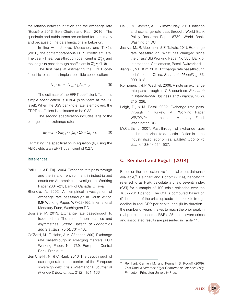<span id="page-60-0"></span>the relation between inflation and the exchange rate (Bussière 2013; Ben Cheikh and Rault 2016). The quadratic and cubic terms are omitted for parsimony and because of the data limitations in Lebanon.

In line with Jasova, Moessner, and Takáts (2016), the contemporaneous ERPT coefficient is  $\gamma_0$ . The yearly linear pass-through coefficient is  $\Sigma_{j=0}^{12}\gamma_j$  and the long run pass through coefficient is Σ $_{j=0}^{12}\gamma_{j}/(1-\delta)$ .

The first pass at estimating the EPRT coefficient is to use the simplest possible specification:

$$
\Delta \rho_t = \alpha + \delta \Delta \rho_{t-1} + \gamma_0 \Delta e_t + \varepsilon_t, \qquad (5)
$$

The estimate of the EPRT coefficient,  $\gamma_0$ , in this simple specification is 0.304 (significant at the 5% level). When the US\$ banknote rate is employed, the ERPT coefficient is estimated to be 0.22.

The second specification includes lags of the change in the exchange rate:

$$
\Delta \rho_t = \alpha + \delta \Delta \rho_{t-1} + \gamma_0 \Delta e_t + \sum_{j=1}^{12} \gamma_j \Delta e_{t-j} + \varepsilon_t \tag{6}
$$

Estimating the specification in equation (6) using the AER yields a an ERPT coefficient of 0.27.

### **References**

- Bailliu, J., & E. Fujii. 2004. Exchange rate pass-through and the inflation environment in industrialized countries: An empirical investigation, Working Paper 2004–21, Bank of Canada, Ottawa.
- Bhundia, A. 2002. An empirical investigation of exchange rate pass-through in South Africa. IMF Working Paper, WP/02/165, International Monetary Fund, Washington DC.
- Bussiere, M. 2013. Exchange rate pass-through to trade prices: The role of nonlinearities and asymmetries. *Oxford Bulletin of Economics and Statistics*, 75(5), 731–758.
- Ca'Zorzi, M., E. Hahn, & M. Sánchez. 200). Exchange rate pass-through in emerging markets. ECB Working Paper, No. 739, European Central Bank, Frankfurt.
- Ben Cheikh, N., & C. Rault. 2016. The pass-through of exchange rate in the context of the European sovereign debt crisis. *International Journal of Finance & Economics*, 21(2), 154–166.
- Ha, J., M. Stocker, & H. Yilmazkuday. 2019. Inflation and exchange rate pass-through. World Bank Policy Research Paper 8780, World Bank, Washington DC.
- Jasova, M., R. Moessner, & E. Takáts. 201). Exchange rate pass-through: What has changed since the crisis? BIS Working Paper No 583, Bank of International Settlements, Basel, Switzerland.
- Jiang, J., & D. Kim. 2013. Exchange rate pass-through to inflation in China. *Economic Modelling*, 33, 900–912.
- Korhonen, I., & P. Wachtel. 2006. A note on exchange rate pass-through in CIS countries. *Research in International Business and Finance*, 20(2), 215–226.
- Leigh, D., & M. Rossi. 2002. Exchange rate passthrough in Turkey. IMF Working Paper WP/02/04, International Monetary Fund, Washington DC.
- McCarthy, J. 2007. Pass-through of exchange rates and import prices to domestic inflation in some industrialized economies. *Eastern Economic Journal*, 33(4), 511–537.

## **C. Reinhart and Rogoff (2014)**

Based on the most extensive financial crises database available,59 Reinhart and Rogoff (2014), henceforth referred to as R&R, calculate a crisis severity index (CSI) for a sample of 100 crisis episodes over the 1857–2013 period. The CSI is computed based on (i) the depth of the crisis episode—the peak-to-trough decline in real GDP per capita, and (ii) its duration the number of years it takes to reach the prior peak in real per capita income. R&R's 25 most severe crises and associated results are presented in Table 11.

<sup>59</sup> Reinhart, Carmen M., and Kenneth S. Rogoff (2009), *This Time Is Different: Eight Centuries of Financial Folly*. Princeton: Princeton University Press.

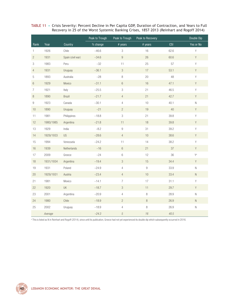<span id="page-61-0"></span>

|  | TABLE 11 • Crisis Severity: Percent Decline in Per Capita GDP, Duration of Contraction, and Years to Full |
|--|-----------------------------------------------------------------------------------------------------------|
|  | Recovery in 25 of the Worst Systemic Banking Crises, 1857-2013 (Reinhart and Rogoff 2014)                 |

|                  |           |                   | Peak to Trough | Peak to Trough            | Peak to Recovery |            | Double Dip  |
|------------------|-----------|-------------------|----------------|---------------------------|------------------|------------|-------------|
| Rank             | Year      | Country           | % change       | # years                   | # years          | <b>CSI</b> | Yes or No   |
| 1                | 1926      | Chile             | $-46.6$        | $\,$ 3 $\,$               | 16               | 62.6       | Y           |
| $\sqrt{2}$       | 1931      | Spain (civil war) | $-34.6$        | $\boldsymbol{9}$          | 26               | 60.6       | $\mathsf Y$ |
| 3                | 1983      | Peru              | $-32$          | 11                        | 25               | 57         | Υ           |
| $\overline{4}$   | 1931      | Uruguay           | $-36.1$        | $\ensuremath{\mathsf{3}}$ | $17\,$           | 53.1       | $\mathsf Y$ |
| 5                | 1893      | Australia         | $-28$          | 8                         | 20               | 48         | Y           |
| $\,6\,$          | 1929      | Mexico            | $-31.1$        | $\,6\,$                   | 16               | 47.1       | $\mathsf Y$ |
| $\overline{7}$   | 1921      | Italy             | $-25.5$        | $\,3$                     | 21               | 46.5       | $\mathsf Y$ |
| $\,8\,$          | 1890      | Brazil            | $-21.7$        | $\overline{4}$            | 21               | 42.7       | $\mathsf Y$ |
| $\boldsymbol{9}$ | 1923      | Canada            | $-30.1$        | $\overline{4}$            | $10\,$           | 40.1       | ${\sf N}$   |
| $10$             | 1890      | Uruguay           | $-21$          | $\sqrt{2}$                | $19$             | $40\,$     | $\mathsf Y$ |
| 11               | 1981      | Philippines       | $-18.8$        | 3                         | 21               | 39.8       | Y           |
| 12               | 1980/1985 | Argentina         | $-21.8$        | 11                        | 18               | 39.8       | Υ           |
| 13               | 1929      | India             | $-8.2$         | $\boldsymbol{9}$          | 31               | 39.2       | Υ           |
| 14               | 1929/1933 | US                | $-28.6$        | $\overline{4}$            | $10$             | 38.6       | $\mathsf Y$ |
| 15               | 1994      | Venezuela         | $-24.2$        | 11                        | 14               | 38.2       | $\mathsf Y$ |
| $16\,$           | 1939      | Netherlands       | $-16$          | $\,6\,$                   | 21               | 37         | $\mathsf Y$ |
| $17\,$           | 2009      | Greece            | $-24$          | $\,6\,$                   | 12               | 36         | Ya          |
| 18               | 1931/1934 | Argentina         | $-19.4$        | $\mathfrak{Z}$            | 15               | 34.4       | $\mathsf Y$ |
| 19               | 1931      | Poland            | $-24.9$        | $\overline{4}$            | $\,9$            | 33.9       | $\mathsf N$ |
| $20\,$           | 1929/1931 | Austria           | $-23.4$        | $\overline{4}$            | 10               | 33.4       | ${\sf N}$   |
| 21               | 1981      | Mexico            | $-14.1$        | $\boldsymbol{7}$          | $17\,$           | 31.1       | $\mathsf Y$ |
| 22               | 1920      | UK                | $-18.7$        | $\sqrt{3}$                | 11               | 29.7       | $\mathsf Y$ |
| 23               | 2001      | Argentina         | $-20.9$        | $\overline{4}$            | $\,8\,$          | 28.9       | $\mathsf N$ |
| 24               | 1980      | Chile             | $-18.9$        | $\overline{c}$            | $\,8\,$          | 26.9       | ${\sf N}$   |
| 25               | 2002      | Uruguay           | $-18.9$        | $\sqrt{4}$                | $\, 8$           | 26.9       | $\mathsf N$ |
|                  | Average   |                   | $-24.3$        | $\sqrt{5}$                | 16               | 40.5       |             |

a This is listed as N in Reinhart and Rogoff (2014), since until its publication, Greece had not yet experienced its double dip which subsequently occurred in 2016.